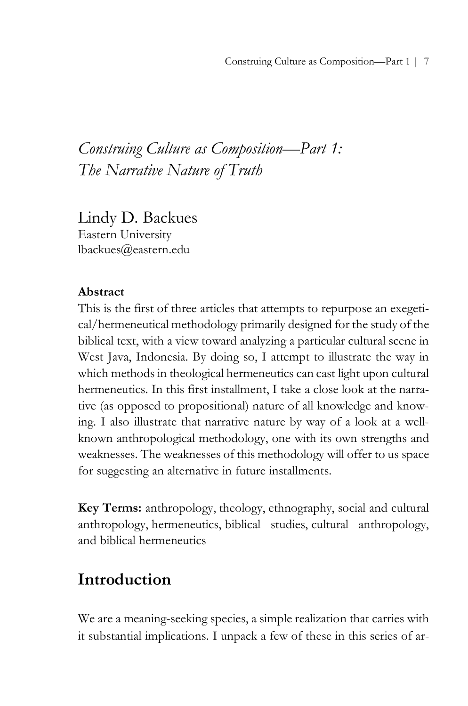# *Construing Culture as Composition—Part 1: The Narrative Nature of Truth*

Lindy D. Backues Eastern University lbackues@eastern.edu

## **Abstract**

This is the first of three articles that attempts to repurpose an exegetical/hermeneutical methodology primarily designed for the study of the biblical text, with a view toward analyzing a particular cultural scene in West Java, Indonesia. By doing so, I attempt to illustrate the way in which methods in theological hermeneutics can cast light upon cultural hermeneutics. In this first installment, I take a close look at the narrative (as opposed to propositional) nature of all knowledge and knowing. I also illustrate that narrative nature by way of a look at a wellknown anthropological methodology, one with its own strengths and weaknesses. The weaknesses of this methodology will offer to us space for suggesting an alternative in future installments.

**Key Terms:** anthropology, theology, ethnography, social and cultural anthropology, hermeneutics, biblical studies, cultural anthropology, and biblical hermeneutics

# **Introduction**

We are a meaning-seeking species, a simple realization that carries with it substantial implications. I unpack a few of these in this series of ar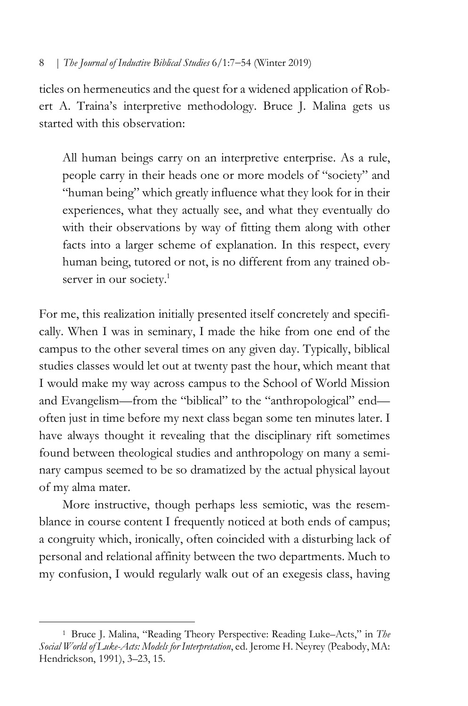ticles on hermeneutics and the quest for a widened application of Robert A. Traina's interpretive methodology. Bruce J. Malina gets us started with this observation:

All human beings carry on an interpretive enterprise. As a rule, people carry in their heads one or more models of "society" and "human being" which greatly influence what they look for in their experiences, what they actually see, and what they eventually do with their observations by way of fitting them along with other facts into a larger scheme of explanation. In this respect, every human being, tutored or not, is no different from any trained observer in our society.<sup>1</sup>

For me, this realization initially presented itself concretely and specifically. When I was in seminary, I made the hike from one end of the campus to the other several times on any given day. Typically, biblical studies classes would let out at twenty past the hour, which meant that I would make my way across campus to the School of World Mission and Evangelism—from the "biblical" to the "anthropological" end often just in time before my next class began some ten minutes later. I have always thought it revealing that the disciplinary rift sometimes found between theological studies and anthropology on many a seminary campus seemed to be so dramatized by the actual physical layout of my alma mater.

More instructive, though perhaps less semiotic, was the resemblance in course content I frequently noticed at both ends of campus; a congruity which, ironically, often coincided with a disturbing lack of personal and relational affinity between the two departments. Much to my confusion, I would regularly walk out of an exegesis class, having

<sup>1</sup> Bruce J. Malina, "Reading Theory Perspective: Reading Luke–Acts," in *The Social World of Luke-Acts: Models for Interpretation*, ed. Jerome H. Neyrey (Peabody, MA: Hendrickson, 1991), 3–23, 15.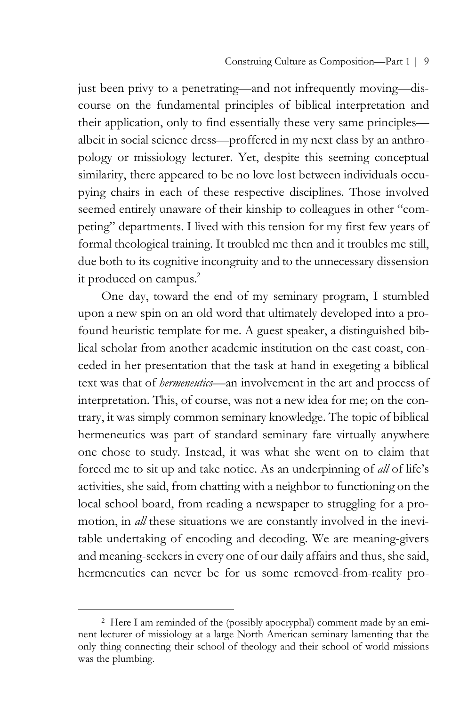just been privy to a penetrating—and not infrequently moving—discourse on the fundamental principles of biblical interpretation and their application, only to find essentially these very same principles albeit in social science dress—proffered in my next class by an anthropology or missiology lecturer. Yet, despite this seeming conceptual similarity, there appeared to be no love lost between individuals occupying chairs in each of these respective disciplines. Those involved seemed entirely unaware of their kinship to colleagues in other "competing" departments. I lived with this tension for my first few years of formal theological training. It troubled me then and it troubles me still, due both to its cognitive incongruity and to the unnecessary dissension it produced on campus.<sup>2</sup>

One day, toward the end of my seminary program, I stumbled upon a new spin on an old word that ultimately developed into a profound heuristic template for me. A guest speaker, a distinguished biblical scholar from another academic institution on the east coast, conceded in her presentation that the task at hand in exegeting a biblical text was that of *hermeneutics*—an involvement in the art and process of interpretation. This, of course, was not a new idea for me; on the contrary, it was simply common seminary knowledge. The topic of biblical hermeneutics was part of standard seminary fare virtually anywhere one chose to study. Instead, it was what she went on to claim that forced me to sit up and take notice. As an underpinning of *all* of life's activities, she said, from chatting with a neighbor to functioning on the local school board, from reading a newspaper to struggling for a promotion, in *all* these situations we are constantly involved in the inevitable undertaking of encoding and decoding. We are meaning-givers and meaning-seekers in every one of our daily affairs and thus, she said, hermeneutics can never be for us some removed-from-reality pro-

<sup>2</sup> Here I am reminded of the (possibly apocryphal) comment made by an eminent lecturer of missiology at a large North American seminary lamenting that the only thing connecting their school of theology and their school of world missions was the plumbing.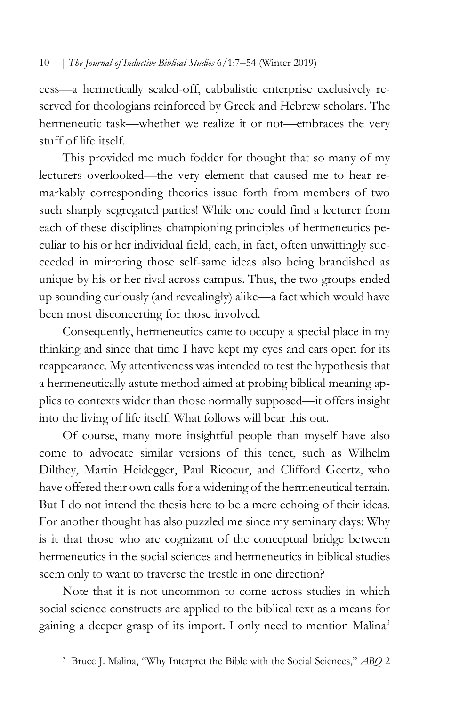cess—a hermetically sealed-off, cabbalistic enterprise exclusively reserved for theologians reinforced by Greek and Hebrew scholars. The hermeneutic task—whether we realize it or not—embraces the very stuff of life itself.

This provided me much fodder for thought that so many of my lecturers overlooked—the very element that caused me to hear remarkably corresponding theories issue forth from members of two such sharply segregated parties! While one could find a lecturer from each of these disciplines championing principles of hermeneutics peculiar to his or her individual field, each, in fact, often unwittingly succeeded in mirroring those self-same ideas also being brandished as unique by his or her rival across campus. Thus, the two groups ended up sounding curiously (and revealingly) alike—a fact which would have been most disconcerting for those involved.

Consequently, hermeneutics came to occupy a special place in my thinking and since that time I have kept my eyes and ears open for its reappearance. My attentiveness was intended to test the hypothesis that a hermeneutically astute method aimed at probing biblical meaning applies to contexts wider than those normally supposed—it offers insight into the living of life itself. What follows will bear this out.

Of course, many more insightful people than myself have also come to advocate similar versions of this tenet, such as Wilhelm Dilthey, Martin Heidegger, Paul Ricoeur, and Clifford Geertz, who have offered their own calls for a widening of the hermeneutical terrain. But I do not intend the thesis here to be a mere echoing of their ideas. For another thought has also puzzled me since my seminary days: Why is it that those who are cognizant of the conceptual bridge between hermeneutics in the social sciences and hermeneutics in biblical studies seem only to want to traverse the trestle in one direction?

Note that it is not uncommon to come across studies in which social science constructs are applied to the biblical text as a means for gaining a deeper grasp of its import. I only need to mention Malina<sup>3</sup>

<sup>3</sup> Bruce J. Malina, "Why Interpret the Bible with the Social Sciences," *ABQ* 2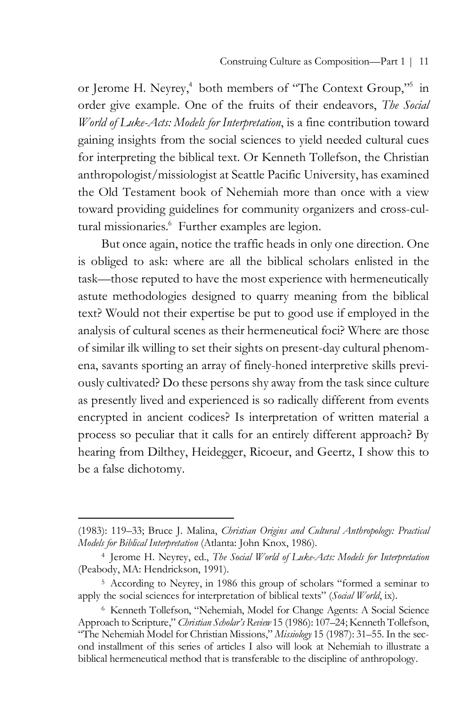or Jerome H. Neyrey,<sup>4</sup> both members of "The Context Group,"<sup>5</sup> in order give example. One of the fruits of their endeavors, *The Social World of Luke-Acts: Models for Interpretation*, is a fine contribution toward gaining insights from the social sciences to yield needed cultural cues for interpreting the biblical text. Or Kenneth Tollefson, the Christian anthropologist/missiologist at Seattle Pacific University, has examined the Old Testament book of Nehemiah more than once with a view toward providing guidelines for community organizers and cross-cultural missionaries.<sup>6</sup> Further examples are legion.

But once again, notice the traffic heads in only one direction. One is obliged to ask: where are all the biblical scholars enlisted in the task—those reputed to have the most experience with hermeneutically astute methodologies designed to quarry meaning from the biblical text? Would not their expertise be put to good use if employed in the analysis of cultural scenes as their hermeneutical foci? Where are those of similar ilk willing to set their sights on present-day cultural phenomena, savants sporting an array of finely-honed interpretive skills previously cultivated? Do these persons shy away from the task since culture as presently lived and experienced is so radically different from events encrypted in ancient codices? Is interpretation of written material a process so peculiar that it calls for an entirely different approach? By hearing from Dilthey, Heidegger, Ricoeur, and Geertz, I show this to be a false dichotomy.

<sup>(1983): 119–33;</sup> Bruce J. Malina, *Christian Origins and Cultural Anthropology: Practical Models for Biblical Interpretation* (Atlanta: John Knox, 1986).

<sup>4</sup> Jerome H. Neyrey, ed., *The Social World of Luke-Acts: Models for Interpretation* (Peabody, MA: Hendrickson, 1991).

<sup>5</sup> According to Neyrey, in 1986 this group of scholars "formed a seminar to apply the social sciences for interpretation of biblical texts" (*Social World*, ix).

<sup>6</sup> Kenneth Tollefson, "Nehemiah, Model for Change Agents: A Social Science Approach to Scripture," *Christian Scholar's Review* 15 (1986): 107–24; Kenneth Tollefson, "The Nehemiah Model for Christian Missions," *Missiology* 15 (1987): 31–55. In the second installment of this series of articles I also will look at Nehemiah to illustrate a biblical hermeneutical method that is transferable to the discipline of anthropology.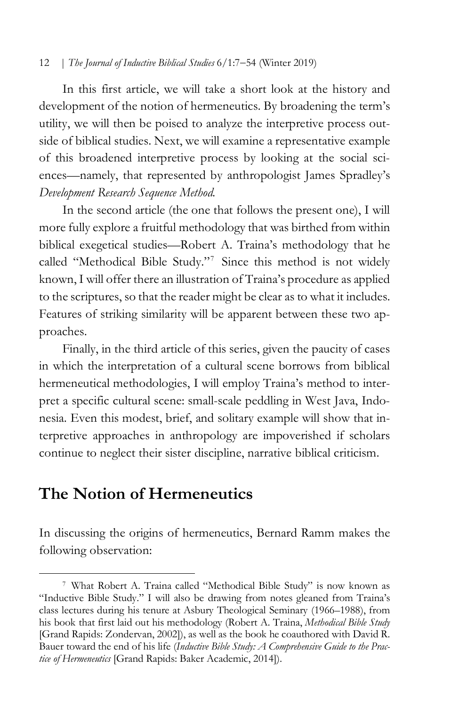In this first article, we will take a short look at the history and development of the notion of hermeneutics. By broadening the term's utility, we will then be poised to analyze the interpretive process outside of biblical studies. Next, we will examine a representative example of this broadened interpretive process by looking at the social sciences—namely, that represented by anthropologist James Spradley's *Development Research Sequence Method.*

In the second article (the one that follows the present one), I will more fully explore a fruitful methodology that was birthed from within biblical exegetical studies—Robert A. Traina's methodology that he called "Methodical Bible Study."7 Since this method is not widely known, I will offer there an illustration of Traina's procedure as applied to the scriptures, so that the reader might be clear as to what it includes. Features of striking similarity will be apparent between these two approaches.

Finally, in the third article of this series, given the paucity of cases in which the interpretation of a cultural scene borrows from biblical hermeneutical methodologies, I will employ Traina's method to interpret a specific cultural scene: small-scale peddling in West Java, Indonesia. Even this modest, brief, and solitary example will show that interpretive approaches in anthropology are impoverished if scholars continue to neglect their sister discipline, narrative biblical criticism.

# **The Notion of Hermeneutics**

 $\overline{a}$ 

In discussing the origins of hermeneutics, Bernard Ramm makes the following observation:

<sup>7</sup> What Robert A. Traina called "Methodical Bible Study" is now known as "Inductive Bible Study." I will also be drawing from notes gleaned from Traina's class lectures during his tenure at Asbury Theological Seminary (1966–1988), from his book that first laid out his methodology (Robert A. Traina, *Methodical Bible Study* [Grand Rapids: Zondervan, 2002]), as well as the book he coauthored with David R. Bauer toward the end of his life (*Inductive Bible Study: A Comprehensive Guide to the Practice of Hermeneutics* [Grand Rapids: Baker Academic, 2014]).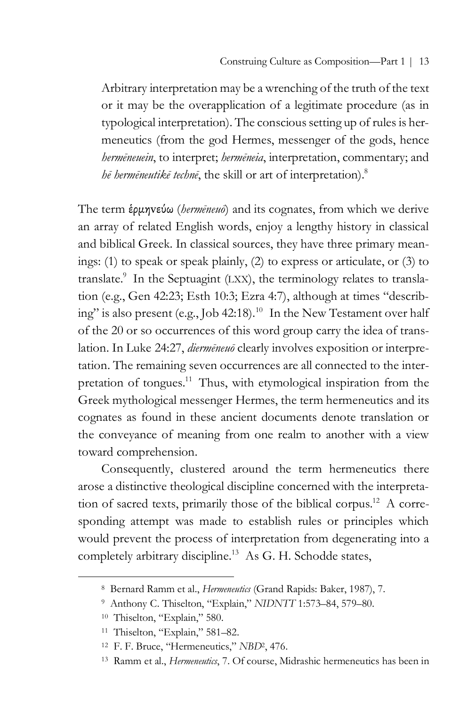Arbitrary interpretation may be a wrenching of the truth of the text or it may be the overapplication of a legitimate procedure (as in typological interpretation). The conscious setting up of rules is hermeneutics (from the god Hermes, messenger of the gods, hence *hermēneuein*, to interpret; *hermēneia*, interpretation, commentary; and *hē hermēneutikē technē*, the skill or art of interpretation). 8

The term ἑρµηvεύω (*hermēneuō*) and its cognates, from which we derive an array of related English words, enjoy a lengthy history in classical and biblical Greek. In classical sources, they have three primary meanings: (1) to speak or speak plainly, (2) to express or articulate, or (3) to translate. $\degree$  In the Septuagint (LXX), the terminology relates to translation (e.g., Gen 42:23; Esth 10:3; Ezra 4:7), although at times "describing" is also present (e.g., Job 42:18). <sup>10</sup> In the New Testament over half of the 20 or so occurrences of this word group carry the idea of translation. In Luke 24:27, *diermēneuō* clearly involves exposition or interpretation. The remaining seven occurrences are all connected to the interpretation of tongues.<sup>11</sup> Thus, with etymological inspiration from the Greek mythological messenger Hermes, the term hermeneutics and its cognates as found in these ancient documents denote translation or the conveyance of meaning from one realm to another with a view toward comprehension.

Consequently, clustered around the term hermeneutics there arose a distinctive theological discipline concerned with the interpretation of sacred texts, primarily those of the biblical corpus.12 A corresponding attempt was made to establish rules or principles which would prevent the process of interpretation from degenerating into a completely arbitrary discipline.<sup>13</sup> As G. H. Schodde states,

<sup>8</sup> Bernard Ramm et al., *Hermeneutics* (Grand Rapids: Baker, 1987), 7.

<sup>9</sup> Anthony C. Thiselton, "Explain," *NIDNTT* 1:573–84, 579–80.

<sup>10</sup> Thiselton, "Explain," 580.

<sup>11</sup> Thiselton, "Explain," 581–82.

<sup>12</sup> F. F. Bruce, "Hermeneutics," *NBD*2, 476.

<sup>13</sup> Ramm et al., *Hermeneutics*, 7. Of course, Midrashic hermeneutics has been in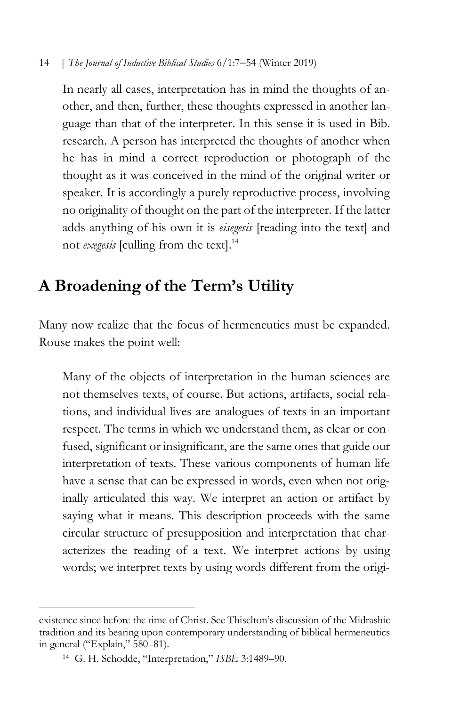In nearly all cases, interpretation has in mind the thoughts of another, and then, further, these thoughts expressed in another language than that of the interpreter. In this sense it is used in Bib. research. A person has interpreted the thoughts of another when he has in mind a correct reproduction or photograph of the thought as it was conceived in the mind of the original writer or speaker. It is accordingly a purely reproductive process, involving no originality of thought on the part of the interpreter. If the latter adds anything of his own it is *eisegesis* [reading into the text] and not *exegesis* [culling from the text]. 14

# **A Broadening of the Term's Utility**

Many now realize that the focus of hermeneutics must be expanded. Rouse makes the point well:

Many of the objects of interpretation in the human sciences are not themselves texts, of course. But actions, artifacts, social relations, and individual lives are analogues of texts in an important respect. The terms in which we understand them, as clear or confused, significant or insignificant, are the same ones that guide our interpretation of texts. These various components of human life have a sense that can be expressed in words, even when not originally articulated this way. We interpret an action or artifact by saying what it means. This description proceeds with the same circular structure of presupposition and interpretation that characterizes the reading of a text. We interpret actions by using words; we interpret texts by using words different from the origi-

existence since before the time of Christ. See Thiselton's discussion of the Midrashic tradition and its bearing upon contemporary understanding of biblical hermeneutics in general ("Explain," 580–81).

<sup>14</sup> G. H. Schodde, "Interpretation," *ISBE* 3:1489–90.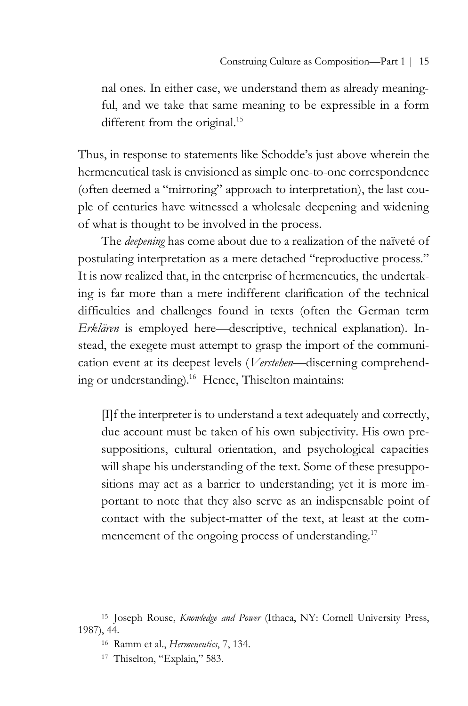nal ones. In either case, we understand them as already meaningful, and we take that same meaning to be expressible in a form different from the original.<sup>15</sup>

Thus, in response to statements like Schodde's just above wherein the hermeneutical task is envisioned as simple one-to-one correspondence (often deemed a "mirroring" approach to interpretation), the last couple of centuries have witnessed a wholesale deepening and widening of what is thought to be involved in the process.

The *deepening* has come about due to a realization of the naïveté of postulating interpretation as a mere detached "reproductive process." It is now realized that, in the enterprise of hermeneutics, the undertaking is far more than a mere indifferent clarification of the technical difficulties and challenges found in texts (often the German term *Erklären* is employed here—descriptive, technical explanation). Instead, the exegete must attempt to grasp the import of the communication event at its deepest levels (*Verstehen*—discerning comprehending or understanding). <sup>16</sup> Hence, Thiselton maintains:

[I]f the interpreter is to understand a text adequately and correctly, due account must be taken of his own subjectivity. His own presuppositions, cultural orientation, and psychological capacities will shape his understanding of the text. Some of these presuppositions may act as a barrier to understanding; yet it is more important to note that they also serve as an indispensable point of contact with the subject-matter of the text, at least at the commencement of the ongoing process of understanding.<sup>17</sup>

<sup>15</sup> Joseph Rouse, *Knowledge and Power* (Ithaca, NY: Cornell University Press, 1987), 44.

<sup>16</sup> Ramm et al., *Hermeneutics*, 7, 134.

<sup>17</sup> Thiselton, "Explain," 583.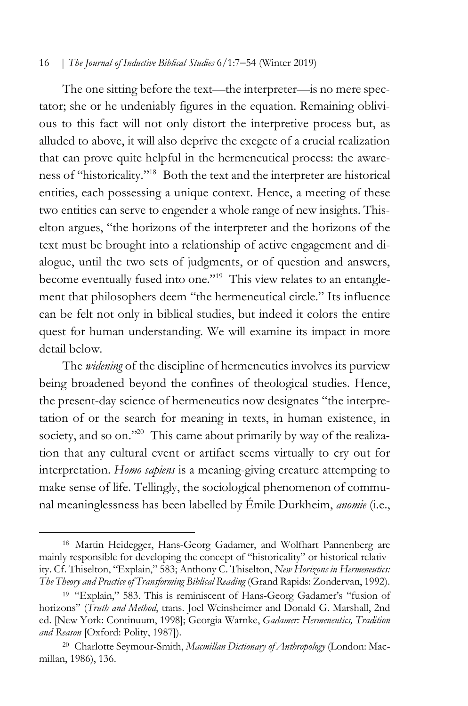The one sitting before the text—the interpreter—is no mere spectator; she or he undeniably figures in the equation. Remaining oblivious to this fact will not only distort the interpretive process but, as alluded to above, it will also deprive the exegete of a crucial realization that can prove quite helpful in the hermeneutical process: the awareness of "historicality."18 Both the text and the interpreter are historical entities, each possessing a unique context. Hence, a meeting of these two entities can serve to engender a whole range of new insights. Thiselton argues, "the horizons of the interpreter and the horizons of the text must be brought into a relationship of active engagement and dialogue, until the two sets of judgments, or of question and answers, become eventually fused into one."<sup>19</sup> This view relates to an entanglement that philosophers deem "the hermeneutical circle." Its influence can be felt not only in biblical studies, but indeed it colors the entire quest for human understanding. We will examine its impact in more detail below.

The *widening* of the discipline of hermeneutics involves its purview being broadened beyond the confines of theological studies. Hence, the present-day science of hermeneutics now designates "the interpretation of or the search for meaning in texts, in human existence, in society, and so on."<sup>20</sup> This came about primarily by way of the realization that any cultural event or artifact seems virtually to cry out for interpretation. *Homo sapiens* is a meaning-giving creature attempting to make sense of life. Tellingly, the sociological phenomenon of communal meaninglessness has been labelled by Émile Durkheim, *anomie* (i.e.,

<sup>18</sup> Martin Heidegger, Hans-Georg Gadamer, and Wolfhart Pannenberg are mainly responsible for developing the concept of "historicality" or historical relativity. Cf. Thiselton, "Explain," 583; Anthony C. Thiselton, *New Horizons in Hermeneutics: The Theory and Practice of Transforming Biblical Reading* (Grand Rapids: Zondervan, 1992).

<sup>19</sup> "Explain," 583. This is reminiscent of Hans-Georg Gadamer's "fusion of horizons" (*Truth and Method*, trans. Joel Weinsheimer and Donald G. Marshall, 2nd ed. [New York: Continuum, 1998]; Georgia Warnke, *Gadamer: Hermeneutics, Tradition and Reason* [Oxford: Polity, 1987]).

<sup>20</sup> Charlotte Seymour-Smith, *Macmillan Dictionary of Anthropology* (London: Macmillan, 1986), 136.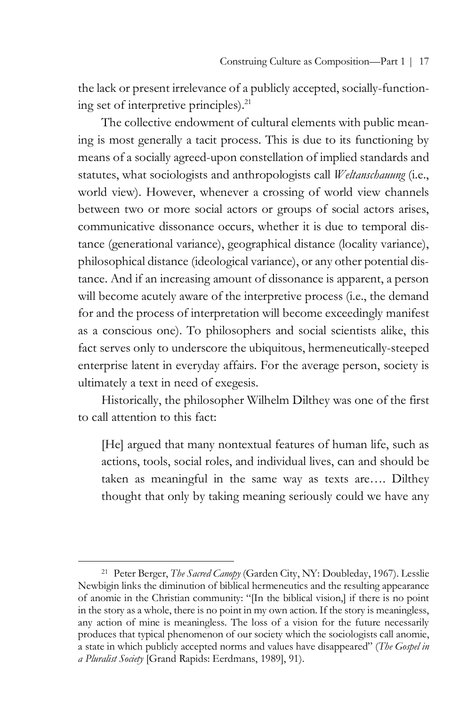the lack or present irrelevance of a publicly accepted, socially-functioning set of interpretive principles). 21

The collective endowment of cultural elements with public meaning is most generally a tacit process. This is due to its functioning by means of a socially agreed-upon constellation of implied standards and statutes, what sociologists and anthropologists call *Weltanschauung* (i.e., world view). However, whenever a crossing of world view channels between two or more social actors or groups of social actors arises, communicative dissonance occurs, whether it is due to temporal distance (generational variance), geographical distance (locality variance), philosophical distance (ideological variance), or any other potential distance. And if an increasing amount of dissonance is apparent, a person will become acutely aware of the interpretive process (i.e., the demand for and the process of interpretation will become exceedingly manifest as a conscious one). To philosophers and social scientists alike, this fact serves only to underscore the ubiquitous, hermeneutically-steeped enterprise latent in everyday affairs. For the average person, society is ultimately a text in need of exegesis.

Historically, the philosopher Wilhelm Dilthey was one of the first to call attention to this fact:

[He] argued that many nontextual features of human life, such as actions, tools, social roles, and individual lives, can and should be taken as meaningful in the same way as texts are…. Dilthey thought that only by taking meaning seriously could we have any

<sup>21</sup> Peter Berger, *The Sacred Canopy* (Garden City, NY: Doubleday, 1967). Lesslie Newbigin links the diminution of biblical hermeneutics and the resulting appearance of anomie in the Christian community: "[In the biblical vision,] if there is no point in the story as a whole, there is no point in my own action. If the story is meaningless, any action of mine is meaningless. The loss of a vision for the future necessarily produces that typical phenomenon of our society which the sociologists call anomie, a state in which publicly accepted norms and values have disappeared" (*The Gospel in a Pluralist Society* [Grand Rapids: Eerdmans, 1989], 91).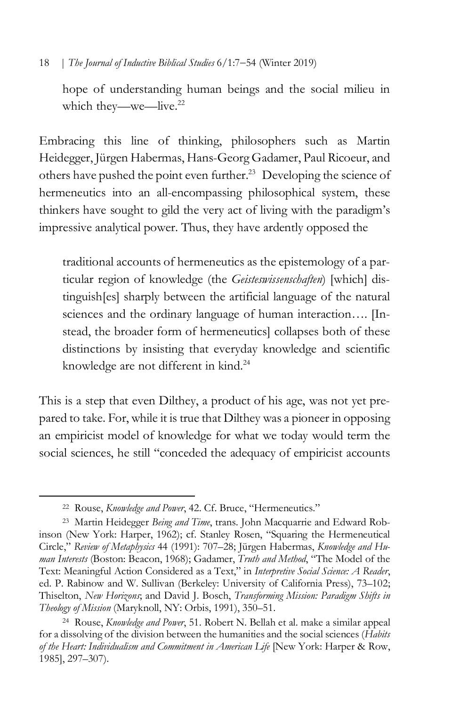hope of understanding human beings and the social milieu in which they—we—live.<sup>22</sup>

Embracing this line of thinking, philosophers such as Martin Heidegger, Jürgen Habermas, Hans-Georg Gadamer, Paul Ricoeur, and others have pushed the point even further.<sup>23</sup> Developing the science of hermeneutics into an all-encompassing philosophical system, these thinkers have sought to gild the very act of living with the paradigm's impressive analytical power. Thus, they have ardently opposed the

traditional accounts of hermeneutics as the epistemology of a particular region of knowledge (the *Geisteswissenschaften*) [which] distinguish[es] sharply between the artificial language of the natural sciences and the ordinary language of human interaction.... [Instead, the broader form of hermeneutics] collapses both of these distinctions by insisting that everyday knowledge and scientific knowledge are not different in kind. 24

This is a step that even Dilthey, a product of his age, was not yet prepared to take. For, while it is true that Dilthey was a pioneer in opposing an empiricist model of knowledge for what we today would term the social sciences, he still "conceded the adequacy of empiricist accounts

<sup>22</sup> Rouse, *Knowledge and Power*, 42. Cf. Bruce, "Hermeneutics."

<sup>23</sup> Martin Heidegger *Being and Time*, trans. John Macquarrie and Edward Robinson (New York: Harper, 1962); cf. Stanley Rosen, "Squaring the Hermeneutical Circle," *Review of Metaphysics* 44 (1991): 707–28; Jürgen Habermas, *Knowledge and Human Interests* (Boston: Beacon, 1968); Gadamer, *Truth and Method*, "The Model of the Text: Meaningful Action Considered as a Text," in *Interpretive Social Science: A Reader*, ed. P. Rabinow and W. Sullivan (Berkeley: University of California Press), 73–102; Thiselton, *New Horizons*; and David J. Bosch, *Transforming Mission: Paradigm Shifts in Theology of Mission* (Maryknoll, NY: Orbis, 1991), 350–51.

<sup>24</sup> Rouse, *Knowledge and Power*, 51. Robert N. Bellah et al. make a similar appeal for a dissolving of the division between the humanities and the social sciences (*Habits of the Heart: Individualism and Commitment in American Life* [New York: Harper & Row, 1985], 297–307).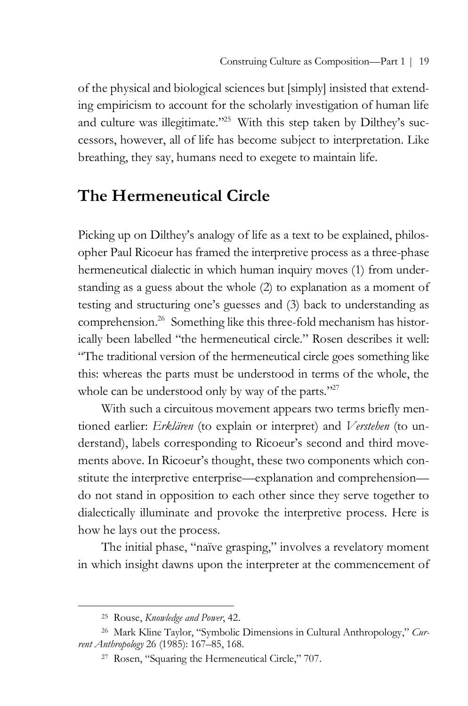of the physical and biological sciences but [simply] insisted that extending empiricism to account for the scholarly investigation of human life and culture was illegitimate."<sup>25</sup> With this step taken by Dilthey's successors, however, all of life has become subject to interpretation. Like breathing, they say, humans need to exegete to maintain life.

# **The Hermeneutical Circle**

Picking up on Dilthey's analogy of life as a text to be explained, philosopher Paul Ricoeur has framed the interpretive process as a three-phase hermeneutical dialectic in which human inquiry moves (1) from understanding as a guess about the whole (2) to explanation as a moment of testing and structuring one's guesses and (3) back to understanding as comprehension. <sup>26</sup> Something like this three-fold mechanism has historically been labelled "the hermeneutical circle." Rosen describes it well: "The traditional version of the hermeneutical circle goes something like this: whereas the parts must be understood in terms of the whole, the whole can be understood only by way of the parts."<sup>27</sup>

With such a circuitous movement appears two terms briefly mentioned earlier: *Erklären* (to explain or interpret) and *Verstehen* (to understand), labels corresponding to Ricoeur's second and third movements above. In Ricoeur's thought, these two components which constitute the interpretive enterprise—explanation and comprehension do not stand in opposition to each other since they serve together to dialectically illuminate and provoke the interpretive process. Here is how he lays out the process.

The initial phase, "naïve grasping," involves a revelatory moment in which insight dawns upon the interpreter at the commencement of

<sup>25</sup> Rouse, *Knowledge and Power*, 42.

<sup>26</sup> Mark Kline Taylor, "Symbolic Dimensions in Cultural Anthropology," *Current Anthropology* 26 (1985): 167–85, 168.

<sup>27</sup> Rosen, "Squaring the Hermeneutical Circle," 707.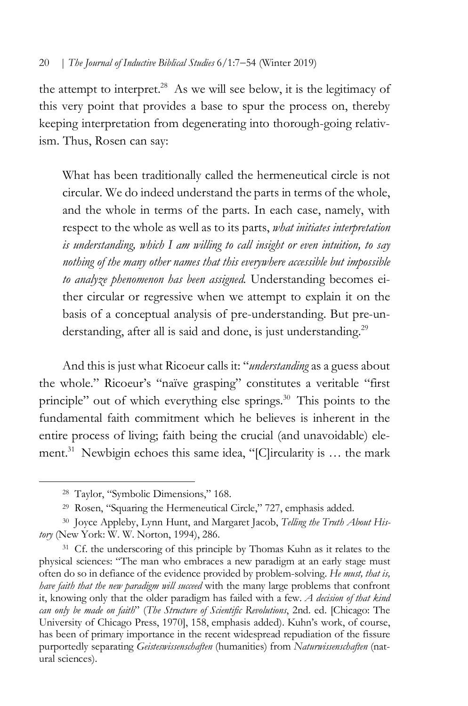the attempt to interpret.<sup>28</sup> As we will see below, it is the legitimacy of this very point that provides a base to spur the process on, thereby keeping interpretation from degenerating into thorough-going relativism. Thus, Rosen can say:

What has been traditionally called the hermeneutical circle is not circular. We do indeed understand the parts in terms of the whole, and the whole in terms of the parts. In each case, namely, with respect to the whole as well as to its parts, *what initiates interpretation is understanding, which I am willing to call insight or even intuition, to say nothing of the many other names that this everywhere accessible but impossible to analyze phenomenon has been assigned.* Understanding becomes either circular or regressive when we attempt to explain it on the basis of a conceptual analysis of pre-understanding. But pre-understanding, after all is said and done, is just understanding.<sup>29</sup>

And this is just what Ricoeur calls it: "*understanding* as a guess about the whole." Ricoeur's "naïve grasping" constitutes a veritable "first principle" out of which everything else springs.<sup>30</sup> This points to the fundamental faith commitment which he believes is inherent in the entire process of living; faith being the crucial (and unavoidable) element. <sup>31</sup> Newbigin echoes this same idea, "[C]ircularity is … the mark

<sup>28</sup> Taylor, "Symbolic Dimensions," 168.

<sup>&</sup>lt;sup>29</sup> Rosen, "Squaring the Hermeneutical Circle," 727, emphasis added.

<sup>30</sup> Joyce Appleby, Lynn Hunt, and Margaret Jacob, *Telling the Truth About History* (New York: W. W. Norton, 1994), 286.

<sup>&</sup>lt;sup>31</sup> Cf. the underscoring of this principle by Thomas Kuhn as it relates to the physical sciences: "The man who embraces a new paradigm at an early stage must often do so in defiance of the evidence provided by problem-solving. *He must, that is, have faith that the new paradigm will succeed* with the many large problems that confront it, knowing only that the older paradigm has failed with a few. *A decision of that kind can only be made on faith*" (*The Structure of Scientific Revolutions*, 2nd. ed. [Chicago: The University of Chicago Press, 1970], 158, emphasis added). Kuhn's work, of course, has been of primary importance in the recent widespread repudiation of the fissure purportedly separating *Geisteswissenschaften* (humanities) from *Naturwissenschaften* (natural sciences).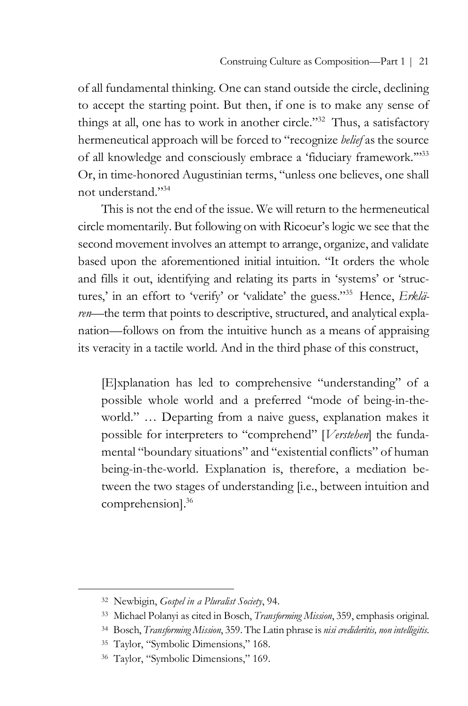of all fundamental thinking. One can stand outside the circle, declining to accept the starting point. But then, if one is to make any sense of things at all, one has to work in another circle."32 Thus, a satisfactory hermeneutical approach will be forced to "recognize *belief* as the source of all knowledge and consciously embrace a 'fiduciary framework.'"33 Or, in time-honored Augustinian terms, "unless one believes, one shall not understand<sup>"34</sup>

This is not the end of the issue. We will return to the hermeneutical circle momentarily. But following on with Ricoeur's logic we see that the second movement involves an attempt to arrange, organize, and validate based upon the aforementioned initial intuition. "It orders the whole and fills it out, identifying and relating its parts in 'systems' or 'structures,' in an effort to 'verify' or 'validate' the guess."35 Hence, *Erklären*—the term that points to descriptive, structured, and analytical explanation—follows on from the intuitive hunch as a means of appraising its veracity in a tactile world. And in the third phase of this construct,

[E]xplanation has led to comprehensive "understanding" of a possible whole world and a preferred "mode of being-in-theworld." … Departing from a naive guess, explanation makes it possible for interpreters to "comprehend" [*Verstehen*] the fundamental "boundary situations" and "existential conflicts" of human being-in-the-world. Explanation is, therefore, a mediation between the two stages of understanding [i.e., between intuition and comprehension]. 36

<sup>32</sup> Newbigin, *Gospel in a Pluralist Society*, 94.

<sup>33</sup> Michael Polanyi as cited in Bosch, *Transforming Mission*, 359, emphasis original.

<sup>34</sup> Bosch, *Transforming Mission*, 359. The Latin phrase is *nisi credideritis, non intelligitis*.

<sup>35</sup> Taylor, "Symbolic Dimensions," 168.

<sup>36</sup> Taylor, "Symbolic Dimensions," 169.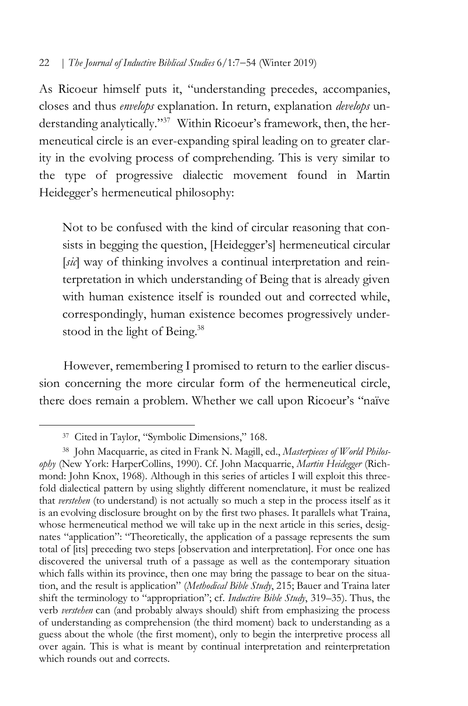As Ricoeur himself puts it, "understanding precedes, accompanies, closes and thus *envelops* explanation. In return, explanation *develops* understanding analytically."<sup>37</sup> Within Ricoeur's framework, then, the hermeneutical circle is an ever-expanding spiral leading on to greater clarity in the evolving process of comprehending. This is very similar to the type of progressive dialectic movement found in Martin Heidegger's hermeneutical philosophy:

Not to be confused with the kind of circular reasoning that consists in begging the question, [Heidegger's] hermeneutical circular [sic] way of thinking involves a continual interpretation and reinterpretation in which understanding of Being that is already given with human existence itself is rounded out and corrected while, correspondingly, human existence becomes progressively understood in the light of Being.<sup>38</sup>

However, remembering I promised to return to the earlier discussion concerning the more circular form of the hermeneutical circle, there does remain a problem. Whether we call upon Ricoeur's "naïve

<sup>37</sup> Cited in Taylor, "Symbolic Dimensions," 168.

<sup>38</sup> John Macquarrie, as cited in Frank N. Magill, ed., *Masterpieces of World Philosophy* (New York: HarperCollins, 1990). Cf. John Macquarrie, *Martin Heidegger* (Richmond: John Knox, 1968). Although in this series of articles I will exploit this threefold dialectical pattern by using slightly different nomenclature, it must be realized that *verstehen* (to understand) is not actually so much a step in the process itself as it is an evolving disclosure brought on by the first two phases. It parallels what Traina, whose hermeneutical method we will take up in the next article in this series, designates "application": "Theoretically, the application of a passage represents the sum total of [its] preceding two steps [observation and interpretation]. For once one has discovered the universal truth of a passage as well as the contemporary situation which falls within its province, then one may bring the passage to bear on the situation, and the result is application" (*Methodical Bible Study*, 215; Bauer and Traina later shift the terminology to "appropriation"; cf. *Inductive Bible Study*, 319–35). Thus, the verb *verstehen* can (and probably always should) shift from emphasizing the process of understanding as comprehension (the third moment) back to understanding as a guess about the whole (the first moment), only to begin the interpretive process all over again. This is what is meant by continual interpretation and reinterpretation which rounds out and corrects.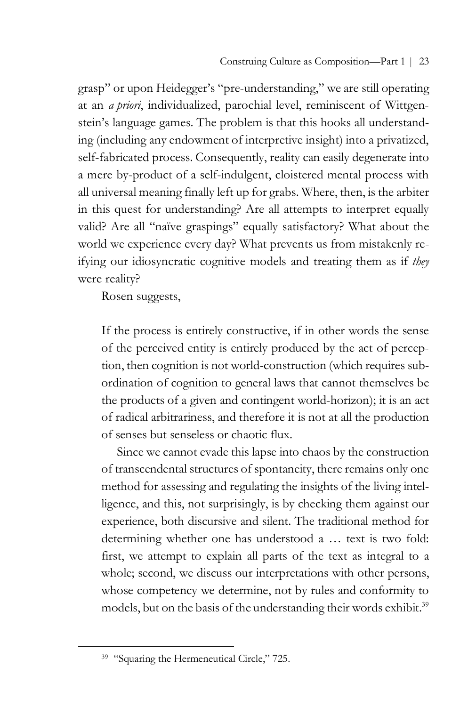grasp" or upon Heidegger's "pre-understanding," we are still operating at an *a priori*, individualized, parochial level, reminiscent of Wittgenstein's language games. The problem is that this hooks all understanding (including any endowment of interpretive insight) into a privatized, self-fabricated process. Consequently, reality can easily degenerate into a mere by-product of a self-indulgent, cloistered mental process with all universal meaning finally left up for grabs. Where, then, is the arbiter in this quest for understanding? Are all attempts to interpret equally valid? Are all "naïve graspings" equally satisfactory? What about the world we experience every day? What prevents us from mistakenly reifying our idiosyncratic cognitive models and treating them as if *they* were reality?

Rosen suggests,

If the process is entirely constructive, if in other words the sense of the perceived entity is entirely produced by the act of perception, then cognition is not world-construction (which requires subordination of cognition to general laws that cannot themselves be the products of a given and contingent world-horizon); it is an act of radical arbitrariness, and therefore it is not at all the production of senses but senseless or chaotic flux.

Since we cannot evade this lapse into chaos by the construction of transcendental structures of spontaneity, there remains only one method for assessing and regulating the insights of the living intelligence, and this, not surprisingly, is by checking them against our experience, both discursive and silent. The traditional method for determining whether one has understood a … text is two fold: first, we attempt to explain all parts of the text as integral to a whole; second, we discuss our interpretations with other persons, whose competency we determine, not by rules and conformity to models, but on the basis of the understanding their words exhibit.<sup>39</sup>

<sup>&</sup>lt;sup>39</sup> "Squaring the Hermeneutical Circle," 725.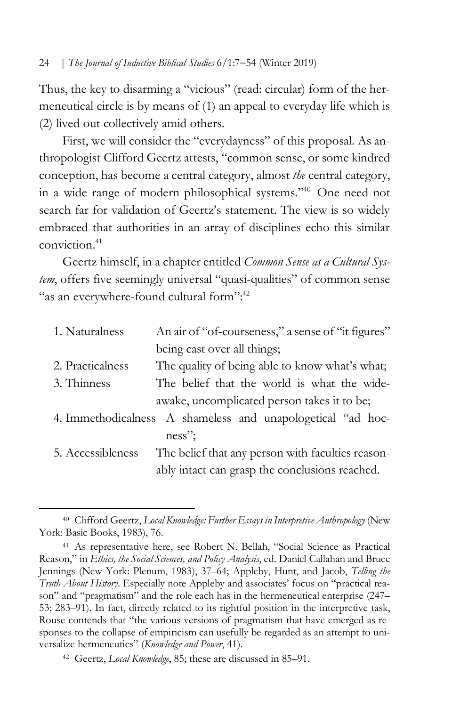Thus, the key to disarming a "vicious" (read: circular) form of the hermeneutical circle is by means of (1) an appeal to everyday life which is (2) lived out collectively amid others.

First, we will consider the "everydayness" of this proposal. As anthropologist Clifford Geertz attests, "common sense, or some kindred conception, has become a central category, almost *the* central category, in a wide range of modern philosophical systems."40 One need not search far for validation of Geertz's statement. The view is so widely embraced that authorities in an array of disciplines echo this similar conviction. 41

Geertz himself, in a chapter entitled *Common Sense as a Cultural System*, offers five seemingly universal "quasi-qualities" of common sense "as an everywhere-found cultural form":<sup>42</sup>

| 1. Naturalness    | An air of "of-courseness," a sense of "it figures"          |
|-------------------|-------------------------------------------------------------|
|                   | being cast over all things;                                 |
| 2. Practicalness  | The quality of being able to know what's what;              |
| 3. Thinness       | The belief that the world is what the wide-                 |
|                   | awake, uncomplicated person takes it to be;                 |
|                   | 4. Immethodicalness A shameless and unapologetical "ad hoc- |
|                   | $ness$ ":                                                   |
| 5. Accessibleness | The belief that any person with faculties reason-           |
|                   | ably intact can grasp the conclusions reached.              |

<sup>40</sup> Clifford Geertz, *Local Knowledge: Further Essays in Interpretive Anthropology* (New York: Basic Books, 1983), 76.

<sup>41</sup> As representative here, see Robert N. Bellah, "Social Science as Practical Reason," in *Ethics, the Social Sciences, and Policy Analysis*, ed. Daniel Callahan and Bruce Jennings (New York: Plenum, 1983), 37–64; Appleby, Hunt, and Jacob, *Telling the Truth About History*. Especially note Appleby and associates' focus on "practical reason" and "pragmatism" and the role each has in the hermeneutical enterprise (247– 53; 283–91). In fact, directly related to its rightful position in the interpretive task, Rouse contends that "the various versions of pragmatism that have emerged as responses to the collapse of empiricism can usefully be regarded as an attempt to universalize hermeneutics" (*Knowledge and Power*, 41).

<sup>42</sup> Geertz, *Local Knowledge*, 85; these are discussed in 85–91.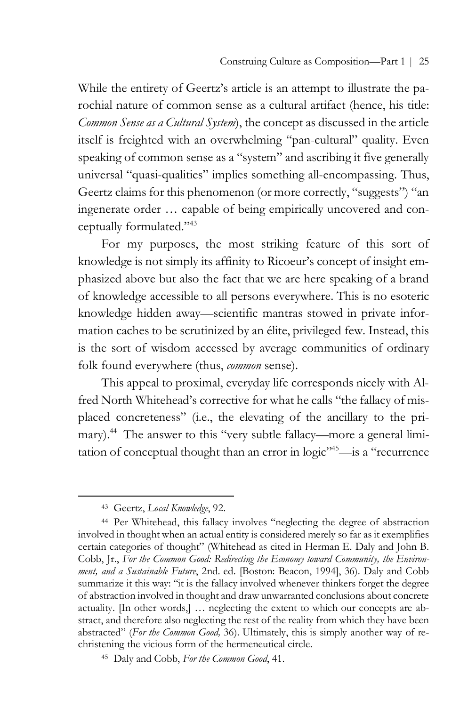While the entirety of Geertz's article is an attempt to illustrate the parochial nature of common sense as a cultural artifact (hence, his title: *Common Sense as a Cultural System*), the concept as discussed in the article itself is freighted with an overwhelming "pan-cultural" quality. Even speaking of common sense as a "system" and ascribing it five generally universal "quasi-qualities" implies something all-encompassing. Thus, Geertz claims for this phenomenon (or more correctly, "suggests") "an ingenerate order … capable of being empirically uncovered and conceptually formulated."43

For my purposes, the most striking feature of this sort of knowledge is not simply its affinity to Ricoeur's concept of insight emphasized above but also the fact that we are here speaking of a brand of knowledge accessible to all persons everywhere. This is no esoteric knowledge hidden away—scientific mantras stowed in private information caches to be scrutinized by an élite, privileged few. Instead, this is the sort of wisdom accessed by average communities of ordinary folk found everywhere (thus, *common* sense).

This appeal to proximal, everyday life corresponds nicely with Alfred North Whitehead's corrective for what he calls "the fallacy of misplaced concreteness" (i.e., the elevating of the ancillary to the primary). <sup>44</sup> The answer to this "very subtle fallacy—more a general limitation of conceptual thought than an error in  $logic^{\frac{1}{15}}$ —is a "recurrence"

<sup>43</sup> Geertz, *Local Knowledge*, 92.

<sup>44</sup> Per Whitehead, this fallacy involves "neglecting the degree of abstraction involved in thought when an actual entity is considered merely so far as it exemplifies certain categories of thought" (Whitehead as cited in Herman E. Daly and John B. Cobb, Jr., *For the Common Good: Redirecting the Economy toward Community, the Environment, and a Sustainable Future*, 2nd. ed. [Boston: Beacon, 1994], 36). Daly and Cobb summarize it this way: "it is the fallacy involved whenever thinkers forget the degree of abstraction involved in thought and draw unwarranted conclusions about concrete actuality. [In other words,] … neglecting the extent to which our concepts are abstract, and therefore also neglecting the rest of the reality from which they have been abstracted" (*For the Common Good,* 36). Ultimately, this is simply another way of rechristening the vicious form of the hermeneutical circle.

<sup>45</sup> Daly and Cobb, *For the Common Good*, 41.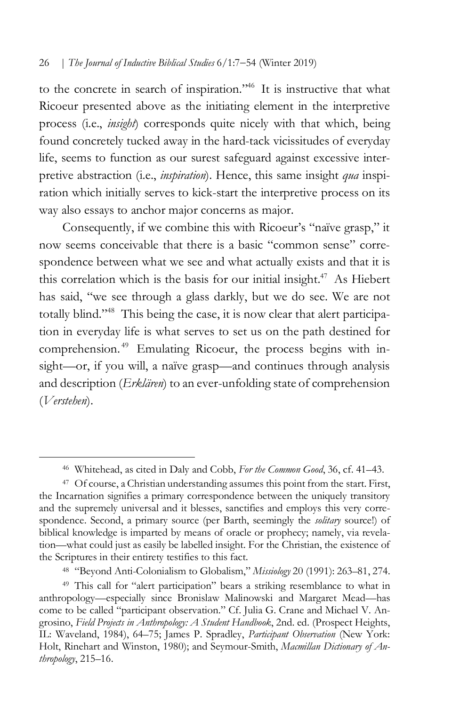to the concrete in search of inspiration."46 It is instructive that what Ricoeur presented above as the initiating element in the interpretive process (i.e., *insight*) corresponds quite nicely with that which, being found concretely tucked away in the hard-tack vicissitudes of everyday life, seems to function as our surest safeguard against excessive interpretive abstraction (i.e., *inspiration*). Hence, this same insight *qua* inspiration which initially serves to kick-start the interpretive process on its way also essays to anchor major concerns as major.

Consequently, if we combine this with Ricoeur's "naïve grasp," it now seems conceivable that there is a basic "common sense" correspondence between what we see and what actually exists and that it is this correlation which is the basis for our initial insight.<sup>47</sup> As Hiebert has said, "we see through a glass darkly, but we do see. We are not totally blind."48 This being the case, it is now clear that alert participation in everyday life is what serves to set us on the path destined for comprehension.<sup>49</sup> Emulating Ricoeur, the process begins with insight—or, if you will, a naïve grasp—and continues through analysis and description (*Erklären*) to an ever-unfolding state of comprehension (*Verstehen*).

 $\overline{a}$ 

<sup>48</sup> "Beyond Anti-Colonialism to Globalism," *Missiology* 20 (1991): 263–81, 274.

<sup>46</sup> Whitehead, as cited in Daly and Cobb, *For the Common Good*, 36, cf. 41–43.

<sup>47</sup> Of course, a Christian understanding assumes this point from the start. First, the Incarnation signifies a primary correspondence between the uniquely transitory and the supremely universal and it blesses, sanctifies and employs this very correspondence. Second, a primary source (per Barth, seemingly the *solitary* source!) of biblical knowledge is imparted by means of oracle or prophecy; namely, via revelation—what could just as easily be labelled insight. For the Christian, the existence of the Scriptures in their entirety testifies to this fact.

<sup>&</sup>lt;sup>49</sup> This call for "alert participation" bears a striking resemblance to what in anthropology—especially since Bronislaw Malinowski and Margaret Mead—has come to be called "participant observation." Cf. Julia G. Crane and Michael V. Angrosino, *Field Projects in Anthropology: A Student Handbook*, 2nd. ed. (Prospect Heights, IL: Waveland, 1984), 64–75; James P. Spradley, *Participant Observation* (New York: Holt, Rinehart and Winston, 1980); and Seymour-Smith, *Macmillan Dictionary of Anthropology*, 215–16.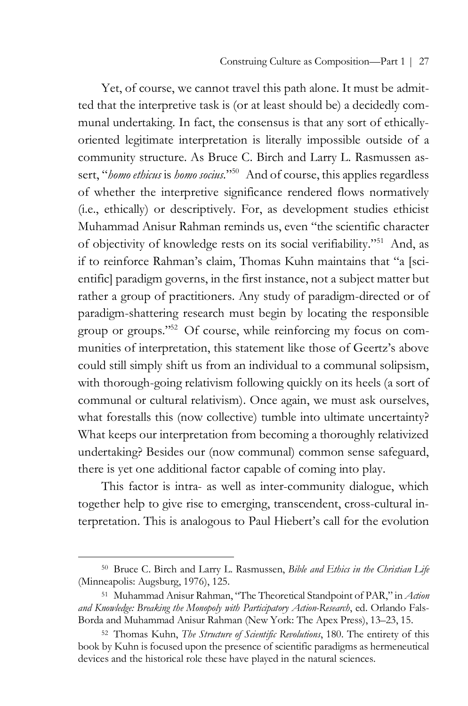Yet, of course, we cannot travel this path alone. It must be admitted that the interpretive task is (or at least should be) a decidedly communal undertaking. In fact, the consensus is that any sort of ethicallyoriented legitimate interpretation is literally impossible outside of a community structure. As Bruce C. Birch and Larry L. Rasmussen assert, "*homo ethicus* is *homo socius*."<sup>50</sup> And of course, this applies regardless of whether the interpretive significance rendered flows normatively (i.e., ethically) or descriptively. For, as development studies ethicist Muhammad Anisur Rahman reminds us, even "the scientific character of objectivity of knowledge rests on its social verifiability."51 And, as if to reinforce Rahman's claim, Thomas Kuhn maintains that "a [scientific] paradigm governs, in the first instance, not a subject matter but rather a group of practitioners. Any study of paradigm-directed or of paradigm-shattering research must begin by locating the responsible group or groups."<sup>52</sup> Of course, while reinforcing my focus on communities of interpretation, this statement like those of Geertz's above could still simply shift us from an individual to a communal solipsism, with thorough-going relativism following quickly on its heels (a sort of communal or cultural relativism). Once again, we must ask ourselves, what forestalls this (now collective) tumble into ultimate uncertainty? What keeps our interpretation from becoming a thoroughly relativized undertaking? Besides our (now communal) common sense safeguard, there is yet one additional factor capable of coming into play.

This factor is intra- as well as inter-community dialogue, which together help to give rise to emerging, transcendent, cross-cultural interpretation. This is analogous to Paul Hiebert's call for the evolution

<sup>50</sup> Bruce C. Birch and Larry L. Rasmussen, *Bible and Ethics in the Christian Life* (Minneapolis: Augsburg, 1976), 125.

<sup>51</sup> Muhammad Anisur Rahman, "The Theoretical Standpoint of PAR," in *Action and Knowledge: Breaking the Monopoly with Participatory Action-Research*, ed. Orlando Fals-Borda and Muhammad Anisur Rahman (New York: The Apex Press), 13–23, 15.

<sup>52</sup> Thomas Kuhn, *The Structure of Scientific Revolutions*, 180. The entirety of this book by Kuhn is focused upon the presence of scientific paradigms as hermeneutical devices and the historical role these have played in the natural sciences.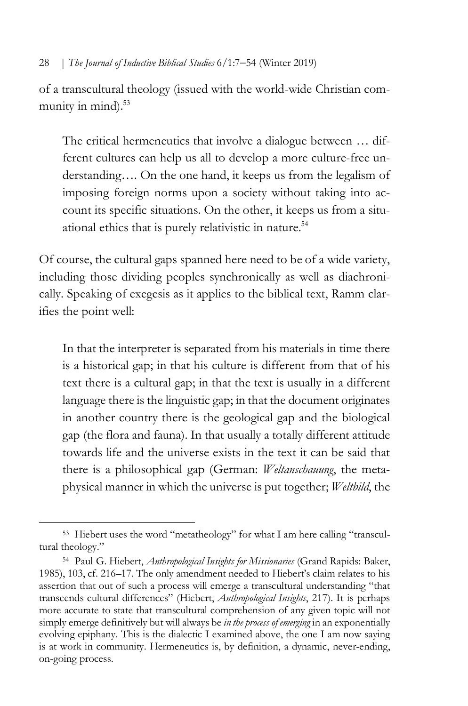of a transcultural theology (issued with the world-wide Christian community in mind).<sup>53</sup>

The critical hermeneutics that involve a dialogue between … different cultures can help us all to develop a more culture-free understanding…. On the one hand, it keeps us from the legalism of imposing foreign norms upon a society without taking into account its specific situations. On the other, it keeps us from a situational ethics that is purely relativistic in nature. 54

Of course, the cultural gaps spanned here need to be of a wide variety, including those dividing peoples synchronically as well as diachronically. Speaking of exegesis as it applies to the biblical text, Ramm clarifies the point well:

In that the interpreter is separated from his materials in time there is a historical gap; in that his culture is different from that of his text there is a cultural gap; in that the text is usually in a different language there is the linguistic gap; in that the document originates in another country there is the geological gap and the biological gap (the flora and fauna). In that usually a totally different attitude towards life and the universe exists in the text it can be said that there is a philosophical gap (German: *Weltanschauung*, the metaphysical manner in which the universe is put together; *Weltbild*, the

<sup>53</sup> Hiebert uses the word "metatheology" for what I am here calling "transcultural theology."

<sup>54</sup> Paul G. Hiebert, *Anthropological Insights for Missionaries* (Grand Rapids: Baker, 1985), 103, cf. 216–17. The only amendment needed to Hiebert's claim relates to his assertion that out of such a process will emerge a transcultural understanding "that transcends cultural differences" (Hiebert, *Anthropological Insights*, 217). It is perhaps more accurate to state that transcultural comprehension of any given topic will not simply emerge definitively but will always be *in the process of emerging* in an exponentially evolving epiphany. This is the dialectic I examined above, the one I am now saying is at work in community. Hermeneutics is, by definition, a dynamic, never-ending, on-going process.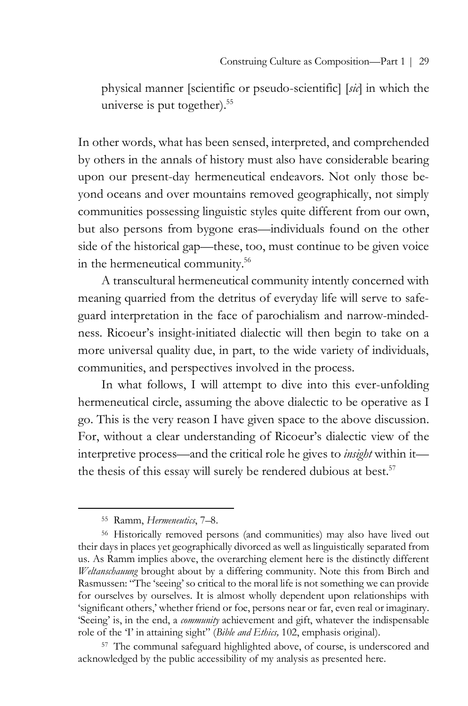physical manner [scientific or pseudo-scientific] [*sic*] in which the universe is put together).<sup>55</sup>

In other words, what has been sensed, interpreted, and comprehended by others in the annals of history must also have considerable bearing upon our present-day hermeneutical endeavors. Not only those beyond oceans and over mountains removed geographically, not simply communities possessing linguistic styles quite different from our own, but also persons from bygone eras—individuals found on the other side of the historical gap—these, too, must continue to be given voice in the hermeneutical community.<sup>56</sup>

A transcultural hermeneutical community intently concerned with meaning quarried from the detritus of everyday life will serve to safeguard interpretation in the face of parochialism and narrow-mindedness. Ricoeur's insight-initiated dialectic will then begin to take on a more universal quality due, in part, to the wide variety of individuals, communities, and perspectives involved in the process.

In what follows, I will attempt to dive into this ever-unfolding hermeneutical circle, assuming the above dialectic to be operative as I go. This is the very reason I have given space to the above discussion. For, without a clear understanding of Ricoeur's dialectic view of the interpretive process—and the critical role he gives to *insight* within it the thesis of this essay will surely be rendered dubious at best.<sup>57</sup>

 $\overline{a}$ 

<sup>57</sup> The communal safeguard highlighted above, of course, is underscored and acknowledged by the public accessibility of my analysis as presented here.

<sup>55</sup> Ramm, *Hermeneutics*, 7–8.

<sup>56</sup> Historically removed persons (and communities) may also have lived out their days in places yet geographically divorced as well as linguistically separated from us. As Ramm implies above, the overarching element here is the distinctly different *Weltanschauung* brought about by a differing community. Note this from Birch and Rasmussen: "The 'seeing' so critical to the moral life is not something we can provide for ourselves by ourselves. It is almost wholly dependent upon relationships with 'significant others,' whether friend or foe, persons near or far, even real or imaginary. 'Seeing' is, in the end, a *community* achievement and gift, whatever the indispensable role of the 'I' in attaining sight" (*Bible and Ethics,* 102, emphasis original).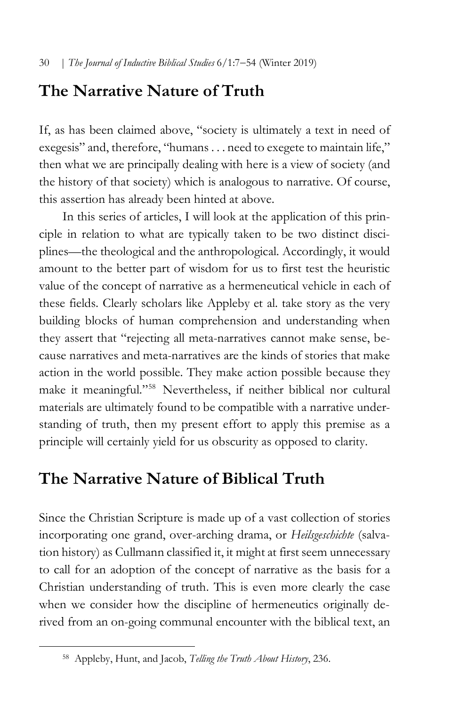# **The Narrative Nature of Truth**

If, as has been claimed above, "society is ultimately a text in need of exegesis" and, therefore, "humans . . . need to exegete to maintain life," then what we are principally dealing with here is a view of society (and the history of that society) which is analogous to narrative. Of course, this assertion has already been hinted at above.

In this series of articles, I will look at the application of this principle in relation to what are typically taken to be two distinct disciplines—the theological and the anthropological. Accordingly, it would amount to the better part of wisdom for us to first test the heuristic value of the concept of narrative as a hermeneutical vehicle in each of these fields. Clearly scholars like Appleby et al. take story as the very building blocks of human comprehension and understanding when they assert that "rejecting all meta-narratives cannot make sense, because narratives and meta-narratives are the kinds of stories that make action in the world possible. They make action possible because they make it meaningful."58 Nevertheless, if neither biblical nor cultural materials are ultimately found to be compatible with a narrative understanding of truth, then my present effort to apply this premise as a principle will certainly yield for us obscurity as opposed to clarity.

# **The Narrative Nature of Biblical Truth**

Since the Christian Scripture is made up of a vast collection of stories incorporating one grand, over-arching drama, or *Heilsgeschichte* (salvation history) as Cullmann classified it, it might at first seem unnecessary to call for an adoption of the concept of narrative as the basis for a Christian understanding of truth. This is even more clearly the case when we consider how the discipline of hermeneutics originally derived from an on-going communal encounter with the biblical text, an

<sup>58</sup> Appleby, Hunt, and Jacob, *Telling the Truth About History*, 236.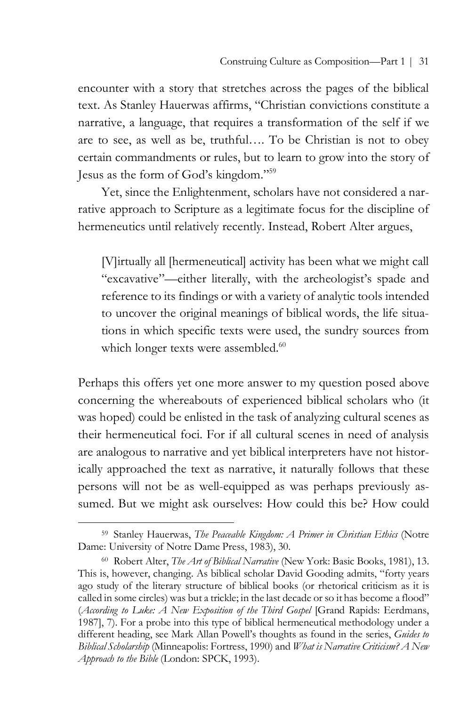encounter with a story that stretches across the pages of the biblical text. As Stanley Hauerwas affirms, "Christian convictions constitute a narrative, a language, that requires a transformation of the self if we are to see, as well as be, truthful…. To be Christian is not to obey certain commandments or rules, but to learn to grow into the story of Jesus as the form of God's kingdom."59

Yet, since the Enlightenment, scholars have not considered a narrative approach to Scripture as a legitimate focus for the discipline of hermeneutics until relatively recently. Instead, Robert Alter argues,

[V]irtually all [hermeneutical] activity has been what we might call "excavative"—either literally, with the archeologist's spade and reference to its findings or with a variety of analytic tools intended to uncover the original meanings of biblical words, the life situations in which specific texts were used, the sundry sources from which longer texts were assembled.<sup>60</sup>

Perhaps this offers yet one more answer to my question posed above concerning the whereabouts of experienced biblical scholars who (it was hoped) could be enlisted in the task of analyzing cultural scenes as their hermeneutical foci. For if all cultural scenes in need of analysis are analogous to narrative and yet biblical interpreters have not historically approached the text as narrative, it naturally follows that these persons will not be as well-equipped as was perhaps previously assumed. But we might ask ourselves: How could this be? How could

<sup>59</sup> Stanley Hauerwas, *The Peaceable Kingdom: A Primer in Christian Ethics* (Notre Dame: University of Notre Dame Press, 1983), 30.

<sup>60</sup> Robert Alter, *The Art of Biblical Narrative* (New York: Basic Books, 1981), 13. This is, however, changing. As biblical scholar David Gooding admits, "forty years ago study of the literary structure of biblical books (or rhetorical criticism as it is called in some circles) was but a trickle; in the last decade or so it has become a flood" (*According to Luke: A New Exposition of the Third Gospel* [Grand Rapids: Eerdmans, 1987], 7). For a probe into this type of biblical hermeneutical methodology under a different heading, see Mark Allan Powell's thoughts as found in the series, *Guides to Biblical Scholarship* (Minneapolis: Fortress, 1990) and *What is Narrative Criticism? A New Approach to the Bible* (London: SPCK, 1993).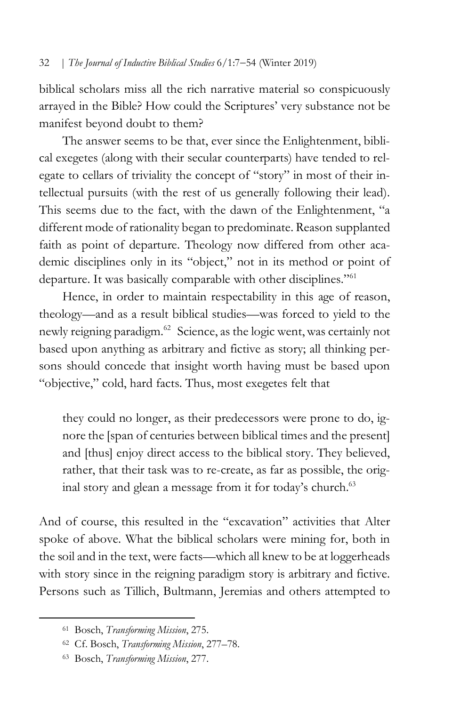biblical scholars miss all the rich narrative material so conspicuously arrayed in the Bible? How could the Scriptures' very substance not be manifest beyond doubt to them?

The answer seems to be that, ever since the Enlightenment, biblical exegetes (along with their secular counterparts) have tended to relegate to cellars of triviality the concept of "story" in most of their intellectual pursuits (with the rest of us generally following their lead). This seems due to the fact, with the dawn of the Enlightenment, "a different mode of rationality began to predominate. Reason supplanted faith as point of departure. Theology now differed from other academic disciplines only in its "object," not in its method or point of departure. It was basically comparable with other disciplines."<sup>61</sup>

Hence, in order to maintain respectability in this age of reason, theology—and as a result biblical studies—was forced to yield to the newly reigning paradigm.<sup>62</sup> Science, as the logic went, was certainly not based upon anything as arbitrary and fictive as story; all thinking persons should concede that insight worth having must be based upon "objective," cold, hard facts. Thus, most exegetes felt that

they could no longer, as their predecessors were prone to do, ignore the [span of centuries between biblical times and the present] and [thus] enjoy direct access to the biblical story. They believed, rather, that their task was to re-create, as far as possible, the original story and glean a message from it for today's church.<sup>63</sup>

And of course, this resulted in the "excavation" activities that Alter spoke of above. What the biblical scholars were mining for, both in the soil and in the text, were facts—which all knew to be at loggerheads with story since in the reigning paradigm story is arbitrary and fictive. Persons such as Tillich, Bultmann, Jeremias and others attempted to

<sup>61</sup> Bosch, *Transforming Mission*, 275.

<sup>62</sup> Cf. Bosch, *Transforming Mission*, 277–78.

<sup>63</sup> Bosch, *Transforming Mission*, 277.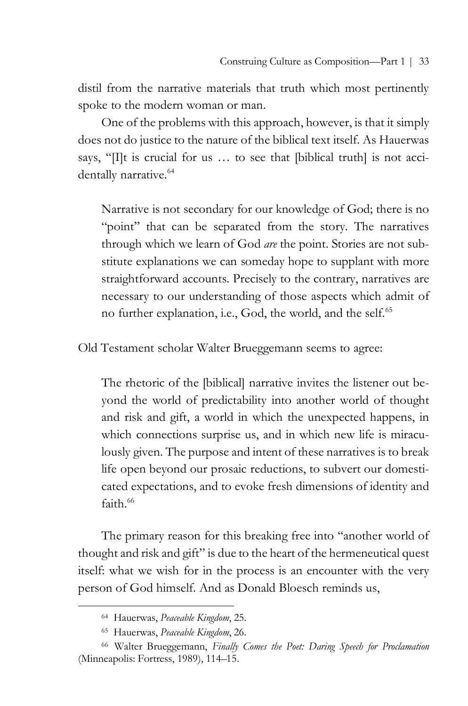distil from the narrative materials that truth which most pertinently spoke to the modern woman or man.

One of the problems with this approach, however, is that it simply does not do justice to the nature of the biblical text itself. As Hauerwas says, "[I]t is crucial for us … to see that [biblical truth] is not accidentally narrative.<sup>64</sup>

Narrative is not secondary for our knowledge of God; there is no "point" that can be separated from the story. The narratives through which we learn of God *are* the point. Stories are not substitute explanations we can someday hope to supplant with more straightforward accounts. Precisely to the contrary, narratives are necessary to our understanding of those aspects which admit of no further explanation, i.e., God, the world, and the self.65

Old Testament scholar Walter Brueggemann seems to agree:

The rhetoric of the [biblical] narrative invites the listener out beyond the world of predictability into another world of thought and risk and gift, a world in which the unexpected happens, in which connections surprise us, and in which new life is miraculously given. The purpose and intent of these narratives is to break life open beyond our prosaic reductions, to subvert our domesticated expectations, and to evoke fresh dimensions of identity and  $f$ aith $66$ 

The primary reason for this breaking free into "another world of thought and risk and gift" is due to the heart of the hermeneutical quest itself: what we wish for in the process is an encounter with the very person of God himself. And as Donald Bloesch reminds us,

<sup>64</sup> Hauerwas, *Peaceable Kingdom*, 25.

<sup>65</sup> Hauerwas, *Peaceable Kingdom*, 26.

<sup>66</sup> Walter Brueggemann, *Finally Comes the Poet: Daring Speech for Proclamation* (Minneapolis: Fortress, 1989), 114–15.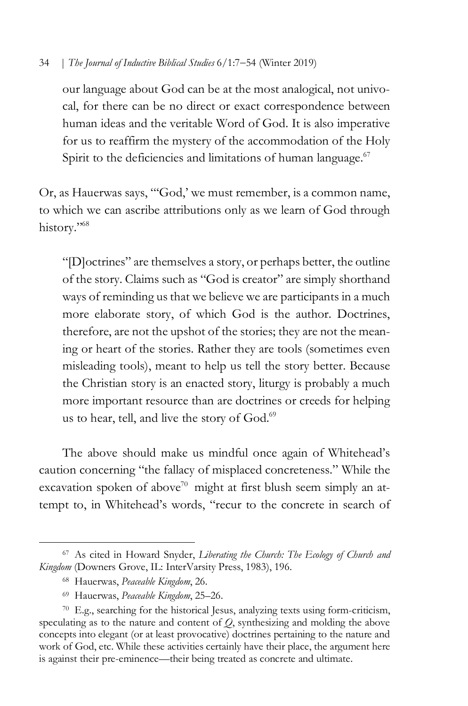our language about God can be at the most analogical, not univocal, for there can be no direct or exact correspondence between human ideas and the veritable Word of God. It is also imperative for us to reaffirm the mystery of the accommodation of the Holy Spirit to the deficiencies and limitations of human language.<sup>67</sup>

Or, as Hauerwas says, "'God,' we must remember, is a common name, to which we can ascribe attributions only as we learn of God through history."<sup>68</sup>

"[D]octrines" are themselves a story, or perhaps better, the outline of the story. Claims such as "God is creator" are simply shorthand ways of reminding us that we believe we are participants in a much more elaborate story, of which God is the author. Doctrines, therefore, are not the upshot of the stories; they are not the meaning or heart of the stories. Rather they are tools (sometimes even misleading tools), meant to help us tell the story better. Because the Christian story is an enacted story, liturgy is probably a much more important resource than are doctrines or creeds for helping us to hear, tell, and live the story of God.<sup>69</sup>

The above should make us mindful once again of Whitehead's caution concerning "the fallacy of misplaced concreteness." While the excavation spoken of above<sup>70</sup> might at first blush seem simply an attempt to, in Whitehead's words, "recur to the concrete in search of

<sup>67</sup> As cited in Howard Snyder, *Liberating the Church: The Ecology of Church and Kingdom* (Downers Grove, IL: InterVarsity Press, 1983), 196.

<sup>68</sup> Hauerwas, *Peaceable Kingdom*, 26.

<sup>69</sup> Hauerwas, *Peaceable Kingdom*, 25–26.

<sup>70</sup> E.g., searching for the historical Jesus, analyzing texts using form-criticism, speculating as to the nature and content of *Q*, synthesizing and molding the above concepts into elegant (or at least provocative) doctrines pertaining to the nature and work of God, etc. While these activities certainly have their place, the argument here is against their pre-eminence—their being treated as concrete and ultimate.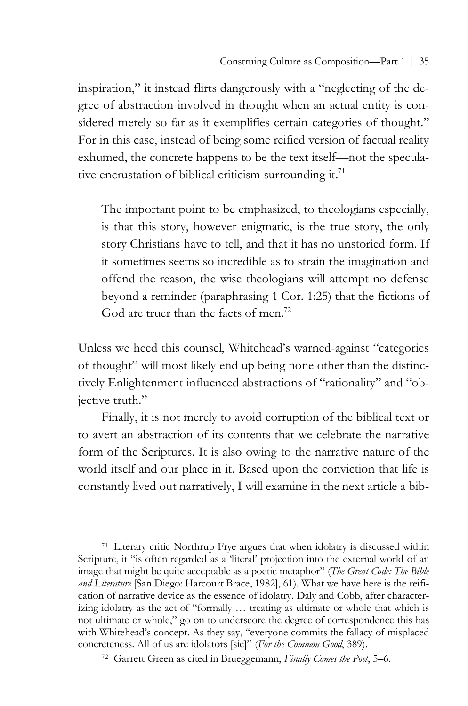inspiration," it instead flirts dangerously with a "neglecting of the degree of abstraction involved in thought when an actual entity is considered merely so far as it exemplifies certain categories of thought." For in this case, instead of being some reified version of factual reality exhumed, the concrete happens to be the text itself—not the speculative encrustation of biblical criticism surrounding it.<sup>71</sup>

The important point to be emphasized, to theologians especially, is that this story, however enigmatic, is the true story, the only story Christians have to tell, and that it has no unstoried form. If it sometimes seems so incredible as to strain the imagination and offend the reason, the wise theologians will attempt no defense beyond a reminder (paraphrasing 1 Cor. 1:25) that the fictions of God are truer than the facts of men.<sup>72</sup>

Unless we heed this counsel, Whitehead's warned-against "categories of thought" will most likely end up being none other than the distinctively Enlightenment influenced abstractions of "rationality" and "objective truth."

Finally, it is not merely to avoid corruption of the biblical text or to avert an abstraction of its contents that we celebrate the narrative form of the Scriptures. It is also owing to the narrative nature of the world itself and our place in it. Based upon the conviction that life is constantly lived out narratively, I will examine in the next article a bib-

<sup>71</sup> Literary critic Northrup Frye argues that when idolatry is discussed within Scripture, it "is often regarded as a 'literal' projection into the external world of an image that might be quite acceptable as a poetic metaphor" (*The Great Code: The Bible and Literature* [San Diego: Harcourt Brace, 1982], 61). What we have here is the reification of narrative device as the essence of idolatry. Daly and Cobb, after characterizing idolatry as the act of "formally … treating as ultimate or whole that which is not ultimate or whole," go on to underscore the degree of correspondence this has with Whitehead's concept. As they say, "everyone commits the fallacy of misplaced concreteness. All of us are idolators [sic]" (*For the Common Good*, 389).

<sup>72</sup> Garrett Green as cited in Brueggemann, *Finally Comes the Poet*, 5–6.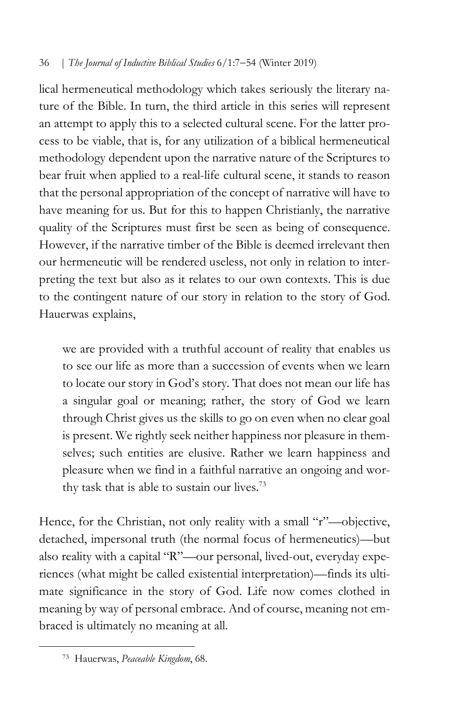lical hermeneutical methodology which takes seriously the literary nature of the Bible. In turn, the third article in this series will represent an attempt to apply this to a selected cultural scene. For the latter process to be viable, that is, for any utilization of a biblical hermeneutical methodology dependent upon the narrative nature of the Scriptures to bear fruit when applied to a real-life cultural scene, it stands to reason that the personal appropriation of the concept of narrative will have to have meaning for us. But for this to happen Christianly, the narrative quality of the Scriptures must first be seen as being of consequence. However, if the narrative timber of the Bible is deemed irrelevant then our hermeneutic will be rendered useless, not only in relation to interpreting the text but also as it relates to our own contexts. This is due to the contingent nature of our story in relation to the story of God. Hauerwas explains,

we are provided with a truthful account of reality that enables us to see our life as more than a succession of events when we learn to locate our story in God's story. That does not mean our life has a singular goal or meaning; rather, the story of God we learn through Christ gives us the skills to go on even when no clear goal is present. We rightly seek neither happiness nor pleasure in themselves; such entities are elusive. Rather we learn happiness and pleasure when we find in a faithful narrative an ongoing and worthy task that is able to sustain our lives.<sup>73</sup>

Hence, for the Christian, not only reality with a small "r"-objective, detached, impersonal truth (the normal focus of hermeneutics)—but also reality with a capital "R"—our personal, lived-out, everyday experiences (what might be called existential interpretation)—finds its ultimate significance in the story of God. Life now comes clothed in meaning by way of personal embrace. And of course, meaning not embraced is ultimately no meaning at all.

<sup>73</sup> Hauerwas, *Peaceable Kingdom*, 68.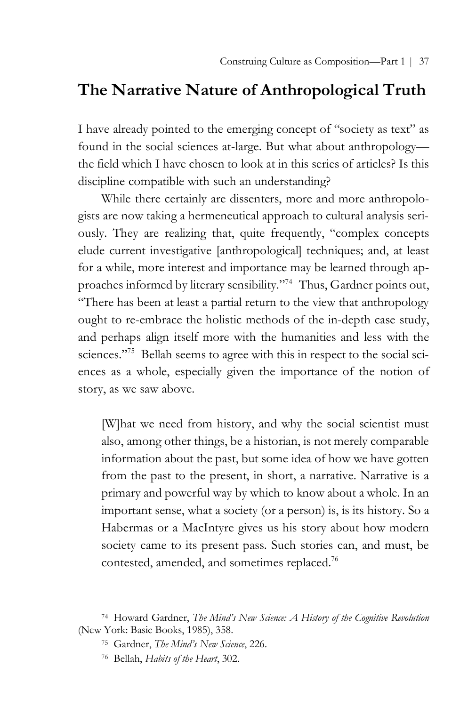# **The Narrative Nature of Anthropological Truth**

I have already pointed to the emerging concept of "society as text" as found in the social sciences at-large. But what about anthropology the field which I have chosen to look at in this series of articles? Is this discipline compatible with such an understanding?

While there certainly are dissenters, more and more anthropologists are now taking a hermeneutical approach to cultural analysis seriously. They are realizing that, quite frequently, "complex concepts elude current investigative [anthropological] techniques; and, at least for a while, more interest and importance may be learned through approaches informed by literary sensibility."74 Thus, Gardner points out, "There has been at least a partial return to the view that anthropology ought to re-embrace the holistic methods of the in-depth case study, and perhaps align itself more with the humanities and less with the sciences."<sup>75</sup> Bellah seems to agree with this in respect to the social sciences as a whole, especially given the importance of the notion of story, as we saw above.

[W]hat we need from history, and why the social scientist must also, among other things, be a historian, is not merely comparable information about the past, but some idea of how we have gotten from the past to the present, in short, a narrative. Narrative is a primary and powerful way by which to know about a whole. In an important sense, what a society (or a person) is, is its history. So a Habermas or a MacIntyre gives us his story about how modern society came to its present pass. Such stories can, and must, be contested, amended, and sometimes replaced.76

<sup>74</sup> Howard Gardner, *The Mind's New Science: A History of the Cognitive Revolution* (New York: Basic Books, 1985), 358.

<sup>75</sup> Gardner, *The Mind's New Science*, 226.

<sup>76</sup> Bellah, *Habits of the Heart*, 302.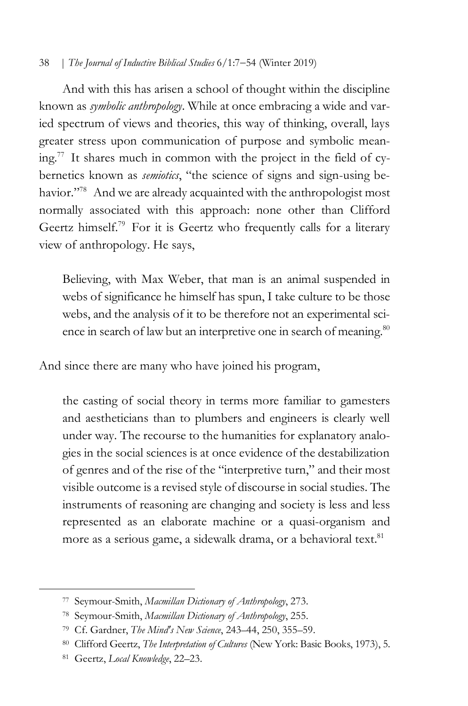And with this has arisen a school of thought within the discipline known as *symbolic anthropology*. While at once embracing a wide and varied spectrum of views and theories, this way of thinking, overall, lays greater stress upon communication of purpose and symbolic mean $ing.^{77}$  It shares much in common with the project in the field of cybernetics known as *semiotics*, "the science of signs and sign-using behavior."<sup>78</sup> And we are already acquainted with the anthropologist most normally associated with this approach: none other than Clifford Geertz himself.<sup>79</sup> For it is Geertz who frequently calls for a literary view of anthropology. He says,

Believing, with Max Weber, that man is an animal suspended in webs of significance he himself has spun, I take culture to be those webs, and the analysis of it to be therefore not an experimental science in search of law but an interpretive one in search of meaning.<sup>80</sup>

And since there are many who have joined his program,

the casting of social theory in terms more familiar to gamesters and aestheticians than to plumbers and engineers is clearly well under way. The recourse to the humanities for explanatory analogies in the social sciences is at once evidence of the destabilization of genres and of the rise of the "interpretive turn," and their most visible outcome is a revised style of discourse in social studies. The instruments of reasoning are changing and society is less and less represented as an elaborate machine or a quasi-organism and more as a serious game, a sidewalk drama, or a behavioral text.<sup>81</sup>

<sup>77</sup> Seymour-Smith, *Macmillan Dictionary of Anthropology*, 273.

<sup>78</sup> Seymour-Smith, *Macmillan Dictionary of Anthropology*, 255.

<sup>79</sup> Cf. Gardner, *The Mind's New Science*, 243–44, 250, 355–59.

<sup>80</sup> Clifford Geertz, *The Interpretation of Cultures* (New York: Basic Books, 1973), 5.

<sup>81</sup> Geertz, *Local Knowledge*, 22–23.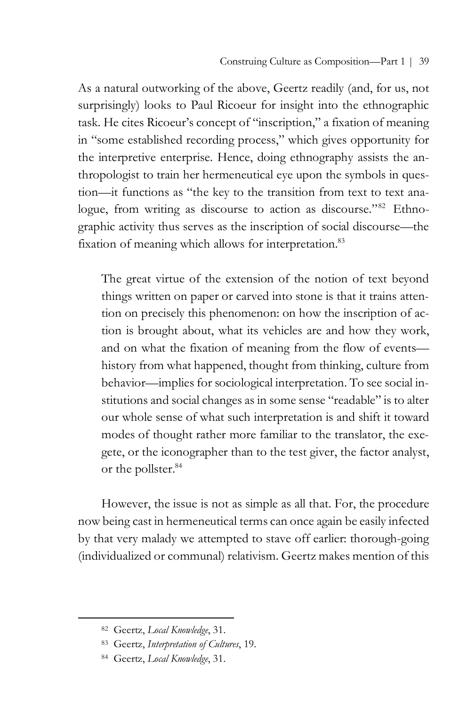As a natural outworking of the above, Geertz readily (and, for us, not surprisingly) looks to Paul Ricoeur for insight into the ethnographic task. He cites Ricoeur's concept of "inscription," a fixation of meaning in "some established recording process," which gives opportunity for the interpretive enterprise. Hence, doing ethnography assists the anthropologist to train her hermeneutical eye upon the symbols in question—it functions as "the key to the transition from text to text analogue, from writing as discourse to action as discourse."<sup>82</sup> Ethnographic activity thus serves as the inscription of social discourse—the fixation of meaning which allows for interpretation.<sup>83</sup>

The great virtue of the extension of the notion of text beyond things written on paper or carved into stone is that it trains attention on precisely this phenomenon: on how the inscription of action is brought about, what its vehicles are and how they work, and on what the fixation of meaning from the flow of events history from what happened, thought from thinking, culture from behavior—implies for sociological interpretation. To see social institutions and social changes as in some sense "readable" is to alter our whole sense of what such interpretation is and shift it toward modes of thought rather more familiar to the translator, the exegete, or the iconographer than to the test giver, the factor analyst, or the pollster.<sup>84</sup>

However, the issue is not as simple as all that. For, the procedure now being cast in hermeneutical terms can once again be easily infected by that very malady we attempted to stave off earlier: thorough-going (individualized or communal) relativism. Geertz makes mention of this

<sup>82</sup> Geertz, *Local Knowledge*, 31.

<sup>83</sup> Geertz, *Interpretation of Cultures*, 19.

<sup>84</sup> Geertz, *Local Knowledge*, 31.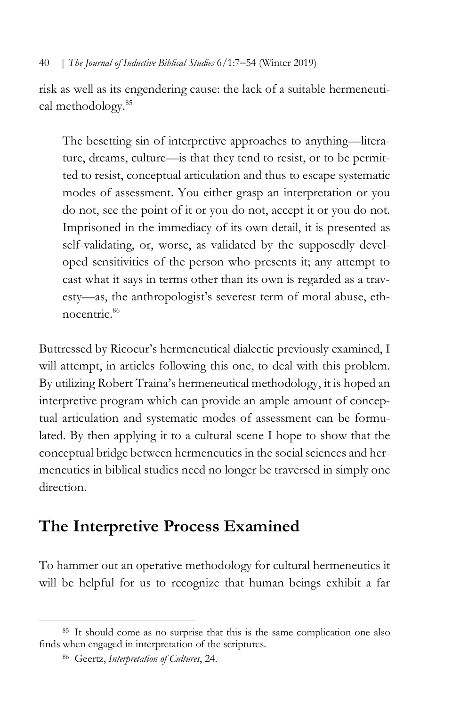risk as well as its engendering cause: the lack of a suitable hermeneutical methodology.85

The besetting sin of interpretive approaches to anything—literature, dreams, culture—is that they tend to resist, or to be permitted to resist, conceptual articulation and thus to escape systematic modes of assessment. You either grasp an interpretation or you do not, see the point of it or you do not, accept it or you do not. Imprisoned in the immediacy of its own detail, it is presented as self-validating, or, worse, as validated by the supposedly developed sensitivities of the person who presents it; any attempt to cast what it says in terms other than its own is regarded as a travesty—as, the anthropologist's severest term of moral abuse, ethnocentric.86

Buttressed by Ricoeur's hermeneutical dialectic previously examined, I will attempt, in articles following this one, to deal with this problem. By utilizing Robert Traina's hermeneutical methodology, it is hoped an interpretive program which can provide an ample amount of conceptual articulation and systematic modes of assessment can be formulated. By then applying it to a cultural scene I hope to show that the conceptual bridge between hermeneutics in the social sciences and hermeneutics in biblical studies need no longer be traversed in simply one direction.

# **The Interpretive Process Examined**

To hammer out an operative methodology for cultural hermeneutics it will be helpful for us to recognize that human beings exhibit a far

<sup>85</sup> It should come as no surprise that this is the same complication one also finds when engaged in interpretation of the scriptures.

<sup>86</sup> Geertz, *Interpretation of Cultures*, 24.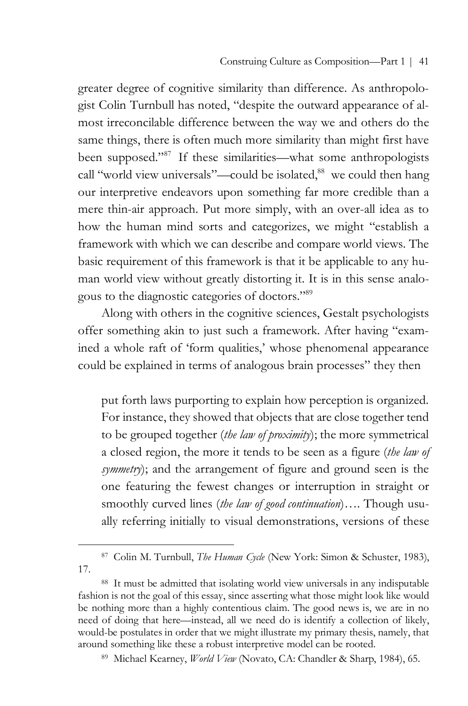greater degree of cognitive similarity than difference. As anthropologist Colin Turnbull has noted, "despite the outward appearance of almost irreconcilable difference between the way we and others do the same things, there is often much more similarity than might first have been supposed."87 If these similarities—what some anthropologists call "world view universals"—could be isolated,<sup>88</sup> we could then hang our interpretive endeavors upon something far more credible than a mere thin-air approach. Put more simply, with an over-all idea as to how the human mind sorts and categorizes, we might "establish a framework with which we can describe and compare world views. The basic requirement of this framework is that it be applicable to any human world view without greatly distorting it. It is in this sense analogous to the diagnostic categories of doctors."89

Along with others in the cognitive sciences, Gestalt psychologists offer something akin to just such a framework. After having "examined a whole raft of 'form qualities,' whose phenomenal appearance could be explained in terms of analogous brain processes" they then

put forth laws purporting to explain how perception is organized. For instance, they showed that objects that are close together tend to be grouped together (*the law of proximity*); the more symmetrical a closed region, the more it tends to be seen as a figure (*the law of symmetry*); and the arrangement of figure and ground seen is the one featuring the fewest changes or interruption in straight or smoothly curved lines (*the law of good continuation*)…. Though usually referring initially to visual demonstrations, versions of these

<sup>87</sup> Colin M. Turnbull, *The Human Cycle* (New York: Simon & Schuster, 1983), 17.

<sup>88</sup> It must be admitted that isolating world view universals in any indisputable fashion is not the goal of this essay, since asserting what those might look like would be nothing more than a highly contentious claim. The good news is, we are in no need of doing that here—instead, all we need do is identify a collection of likely, would-be postulates in order that we might illustrate my primary thesis, namely, that around something like these a robust interpretive model can be rooted.

<sup>89</sup> Michael Kearney, *World View* (Novato, CA: Chandler & Sharp, 1984), 65.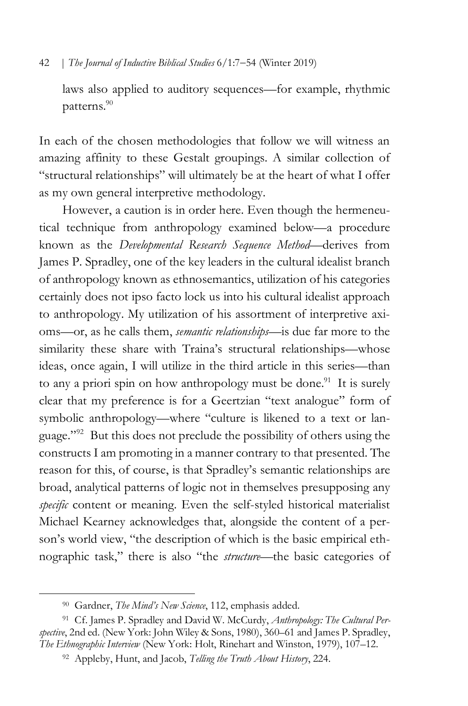laws also applied to auditory sequences—for example, rhythmic patterns.90

In each of the chosen methodologies that follow we will witness an amazing affinity to these Gestalt groupings. A similar collection of "structural relationships" will ultimately be at the heart of what I offer as my own general interpretive methodology.

However, a caution is in order here. Even though the hermeneutical technique from anthropology examined below—a procedure known as the *Developmental Research Sequence Method*—derives from James P. Spradley, one of the key leaders in the cultural idealist branch of anthropology known as ethnosemantics, utilization of his categories certainly does not ipso facto lock us into his cultural idealist approach to anthropology. My utilization of his assortment of interpretive axioms—or, as he calls them, *semantic relationships*—is due far more to the similarity these share with Traina's structural relationships—whose ideas, once again, I will utilize in the third article in this series—than to any a priori spin on how anthropology must be done.<sup>91</sup> It is surely clear that my preference is for a Geertzian "text analogue" form of symbolic anthropology—where "culture is likened to a text or language."<sup>92</sup> But this does not preclude the possibility of others using the constructs I am promoting in a manner contrary to that presented. The reason for this, of course, is that Spradley's semantic relationships are broad, analytical patterns of logic not in themselves presupposing any *specific* content or meaning. Even the self-styled historical materialist Michael Kearney acknowledges that, alongside the content of a person's world view, "the description of which is the basic empirical ethnographic task," there is also "the *structure*—the basic categories of

<sup>90</sup> Gardner, *The Mind's New Science*, 112, emphasis added.

<sup>91</sup> Cf. James P. Spradley and David W. McCurdy, *Anthropology: The Cultural Perspective*, 2nd ed. (New York: John Wiley & Sons, 1980), 360–61 and James P. Spradley, *The Ethnographic Interview* (New York: Holt, Rinehart and Winston, 1979), 107–12.

<sup>92</sup> Appleby, Hunt, and Jacob, *Telling the Truth About History*, 224.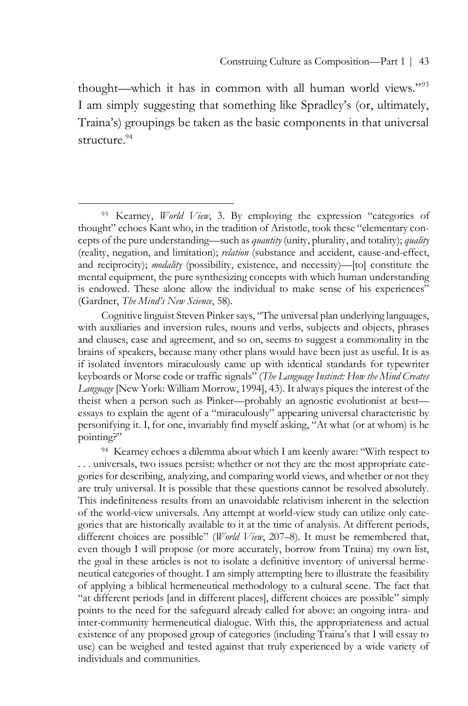thought—which it has in common with all human world views."93 I am simply suggesting that something like Spradley's (or, ultimately, Traina's) groupings be taken as the basic components in that universal structure.<sup>94</sup>

 $\overline{a}$ 

Cognitive linguist Steven Pinker says, "The universal plan underlying languages, with auxiliaries and inversion rules, nouns and verbs, subjects and objects, phrases and clauses, case and agreement, and so on, seems to suggest a commonality in the brains of speakers, because many other plans would have been just as useful. It is as if isolated inventors miraculously came up with identical standards for typewriter keyboards or Morse code or traffic signals" (*The Language Instinct: How the Mind Creates Language* [New York: William Morrow, 1994], 43). It always piques the interest of the theist when a person such as Pinker—probably an agnostic evolutionist at best essays to explain the agent of a "miraculously" appearing universal characteristic by personifying it. I, for one, invariably find myself asking, "At what (or at whom) is he pointing?"

<sup>94</sup> Kearney echoes a dilemma about which I am keenly aware: "With respect to . . . universals, two issues persist: whether or not they are the most appropriate categories for describing, analyzing, and comparing world views, and whether or not they are truly universal. It is possible that these questions cannot be resolved absolutely. This indefiniteness results from an unavoidable relativism inherent in the selection of the world-view universals. Any attempt at world-view study can utilize only categories that are historically available to it at the time of analysis. At different periods, different choices are possible" (*World View*, 207–8). It must be remembered that, even though I will propose (or more accurately, borrow from Traina) my own list, the goal in these articles is not to isolate a definitive inventory of universal hermeneutical categories of thought. I am simply attempting here to illustrate the feasibility of applying a biblical hermeneutical methodology to a cultural scene. The fact that "at different periods [and in different places], different choices are possible" simply points to the need for the safeguard already called for above: an ongoing intra- and inter-community hermeneutical dialogue. With this, the appropriateness and actual existence of any proposed group of categories (including Traina's that I will essay to use) can be weighed and tested against that truly experienced by a wide variety of individuals and communities.

<sup>93</sup> Kearney, *World View*, 3. By employing the expression "categories of thought" echoes Kant who, in the tradition of Aristotle, took these "elementary concepts of the pure understanding—such as *quantity* (unity, plurality, and totality); *quality* (reality, negation, and limitation); *relation* (substance and accident, cause-and-effect, and reciprocity); *modality* (possibility, existence, and necessity)—[to] constitute the mental equipment, the pure synthesizing concepts with which human understanding is endowed. These alone allow the individual to make sense of his experiences" (Gardner, *The Mind's New Science*, 58).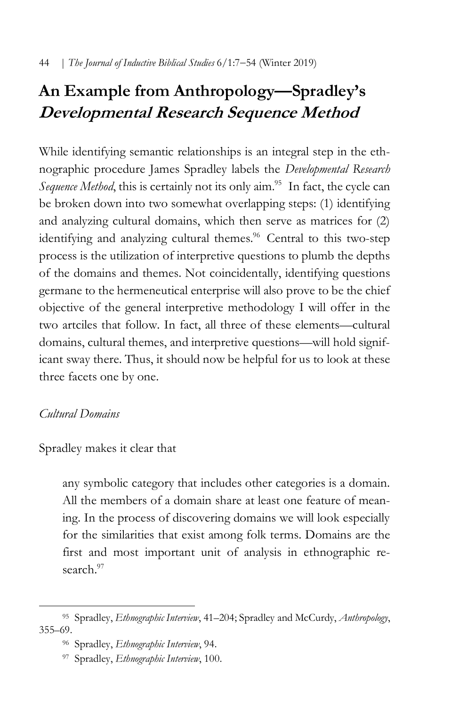# **An Example from Anthropology—Spradley's Developmental Research Sequence Method**

While identifying semantic relationships is an integral step in the ethnographic procedure James Spradley labels the *Developmental Research Sequence Method*, this is certainly not its only aim.<sup>95</sup> In fact, the cycle can be broken down into two somewhat overlapping steps: (1) identifying and analyzing cultural domains, which then serve as matrices for (2) identifying and analyzing cultural themes.<sup>96</sup> Central to this two-step process is the utilization of interpretive questions to plumb the depths of the domains and themes. Not coincidentally, identifying questions germane to the hermeneutical enterprise will also prove to be the chief objective of the general interpretive methodology I will offer in the two artciles that follow. In fact, all three of these elements—cultural domains, cultural themes, and interpretive questions—will hold significant sway there. Thus, it should now be helpful for us to look at these three facets one by one.

# *Cultural Domains*

Spradley makes it clear that

any symbolic category that includes other categories is a domain. All the members of a domain share at least one feature of meaning. In the process of discovering domains we will look especially for the similarities that exist among folk terms. Domains are the first and most important unit of analysis in ethnographic research.<sup>97</sup>

 $\overline{a}$ <sup>95</sup> Spradley, *Ethnographic Interview*, 41–204; Spradley and McCurdy, *Anthropology*, 355–69.

<sup>96</sup> Spradley, *Ethnographic Interview*, 94.

<sup>97</sup> Spradley, *Ethnographic Interview*, 100.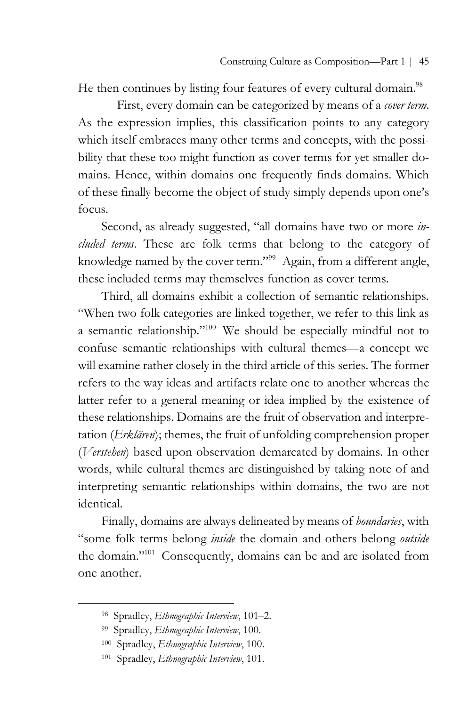He then continues by listing four features of every cultural domain.<sup>98</sup>

First, every domain can be categorized by means of a *cover term*. As the expression implies, this classification points to any category which itself embraces many other terms and concepts, with the possibility that these too might function as cover terms for yet smaller domains. Hence, within domains one frequently finds domains. Which of these finally become the object of study simply depends upon one's focus.

Second, as already suggested, "all domains have two or more *included terms*. These are folk terms that belong to the category of knowledge named by the cover term."<sup>99</sup> Again, from a different angle, these included terms may themselves function as cover terms.

Third, all domains exhibit a collection of semantic relationships. "When two folk categories are linked together, we refer to this link as a semantic relationship."100 We should be especially mindful not to confuse semantic relationships with cultural themes—a concept we will examine rather closely in the third article of this series. The former refers to the way ideas and artifacts relate one to another whereas the latter refer to a general meaning or idea implied by the existence of these relationships. Domains are the fruit of observation and interpretation (*Erklären*); themes, the fruit of unfolding comprehension proper (*Verstehen*) based upon observation demarcated by domains. In other words, while cultural themes are distinguished by taking note of and interpreting semantic relationships within domains, the two are not identical.

Finally, domains are always delineated by means of *boundaries*, with "some folk terms belong *inside* the domain and others belong *outside* the domain."101 Consequently, domains can be and are isolated from one another.

<sup>98</sup> Spradley, *Ethnographic Interview*, 101–2.

<sup>99</sup> Spradley, *Ethnographic Interview*, 100.

<sup>100</sup> Spradley, *Ethnographic Interview*, 100.

<sup>101</sup> Spradley, *Ethnographic Interview*, 101.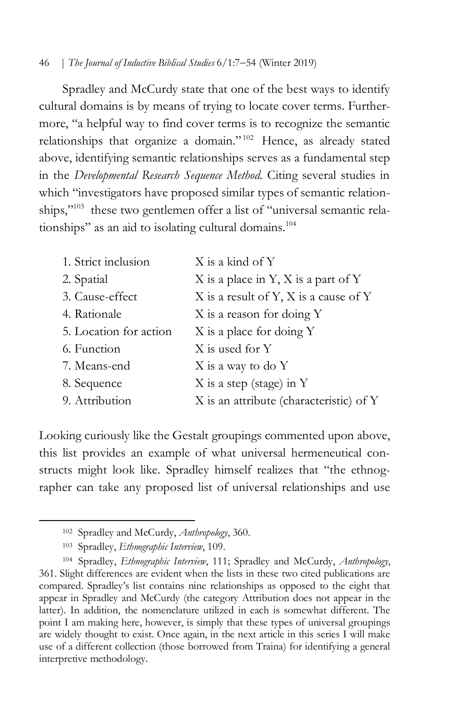Spradley and McCurdy state that one of the best ways to identify cultural domains is by means of trying to locate cover terms. Furthermore, "a helpful way to find cover terms is to recognize the semantic relationships that organize a domain." <sup>102</sup> Hence, as already stated above, identifying semantic relationships serves as a fundamental step in the *Developmental Research Sequence Method*. Citing several studies in which "investigators have proposed similar types of semantic relationships,"<sup>103</sup> these two gentlemen offer a list of "universal semantic relationships" as an aid to isolating cultural domains.<sup>104</sup>

| 1. Strict inclusion    | X is a kind of Y                        |
|------------------------|-----------------------------------------|
| 2. Spatial             | $X$ is a place in Y, X is a part of Y   |
| 3. Cause-effect        | X is a result of Y, X is a cause of Y   |
| 4. Rationale           | X is a reason for doing Y               |
| 5. Location for action | X is a place for doing Y                |
| 6. Function            | X is used for Y                         |
| 7. Means-end           | X is a way to do Y                      |
| 8. Sequence            | $X$ is a step (stage) in Y              |
| 9. Attribution         | X is an attribute (characteristic) of Y |

Looking curiously like the Gestalt groupings commented upon above, this list provides an example of what universal hermeneutical constructs might look like. Spradley himself realizes that "the ethnographer can take any proposed list of universal relationships and use

<sup>102</sup> Spradley and McCurdy, *Anthropology*, 360.

<sup>103</sup> Spradley, *Ethnographic Interview*, 109.

<sup>104</sup> Spradley, *Ethnographic Interview*, 111; Spradley and McCurdy, *Anthropology*, 361. Slight differences are evident when the lists in these two cited publications are compared. Spradley's list contains nine relationships as opposed to the eight that appear in Spradley and McCurdy (the category Attribution does not appear in the latter). In addition, the nomenclature utilized in each is somewhat different. The point I am making here, however, is simply that these types of universal groupings are widely thought to exist. Once again, in the next article in this series I will make use of a different collection (those borrowed from Traina) for identifying a general interpretive methodology.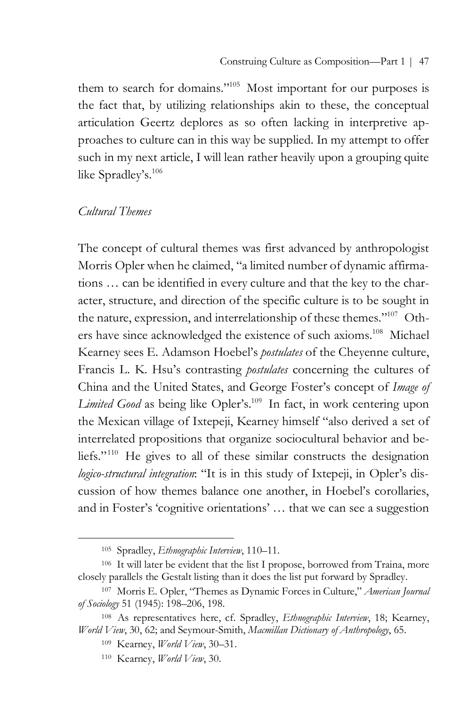them to search for domains."105 Most important for our purposes is the fact that, by utilizing relationships akin to these, the conceptual articulation Geertz deplores as so often lacking in interpretive approaches to culture can in this way be supplied. In my attempt to offer such in my next article, I will lean rather heavily upon a grouping quite like Spradley's.106

## *Cultural Themes*

 $\overline{a}$ 

The concept of cultural themes was first advanced by anthropologist Morris Opler when he claimed, "a limited number of dynamic affirmations … can be identified in every culture and that the key to the character, structure, and direction of the specific culture is to be sought in the nature, expression, and interrelationship of these themes."107 Others have since acknowledged the existence of such axioms.<sup>108</sup> Michael Kearney sees E. Adamson Hoebel's *postulates* of the Cheyenne culture, Francis L. K. Hsu's contrasting *postulates* concerning the cultures of China and the United States, and George Foster's concept of *Image of*  Limited Good as being like Opler's.<sup>109</sup> In fact, in work centering upon the Mexican village of Ixtepeji, Kearney himself "also derived a set of interrelated propositions that organize sociocultural behavior and beliefs."110 He gives to all of these similar constructs the designation *logico-structural integration*: "It is in this study of Ixtepeji, in Opler's discussion of how themes balance one another, in Hoebel's corollaries, and in Foster's 'cognitive orientations' … that we can see a suggestion

<sup>105</sup> Spradley, *Ethnographic Interview*, 110–11.

<sup>106</sup> It will later be evident that the list I propose, borrowed from Traina, more closely parallels the Gestalt listing than it does the list put forward by Spradley.

<sup>107</sup> Morris E. Opler, "Themes as Dynamic Forces in Culture," *American Journal of Sociology* 51 (1945): 198–206, 198.

<sup>108</sup> As representatives here, cf. Spradley, *Ethnographic Interview*, 18; Kearney, *World View*, 30, 62; and Seymour-Smith, *Macmillan Dictionary of Anthropology*, 65.

<sup>109</sup> Kearney, *World View*, 30–31.

<sup>110</sup> Kearney, *World View*, 30.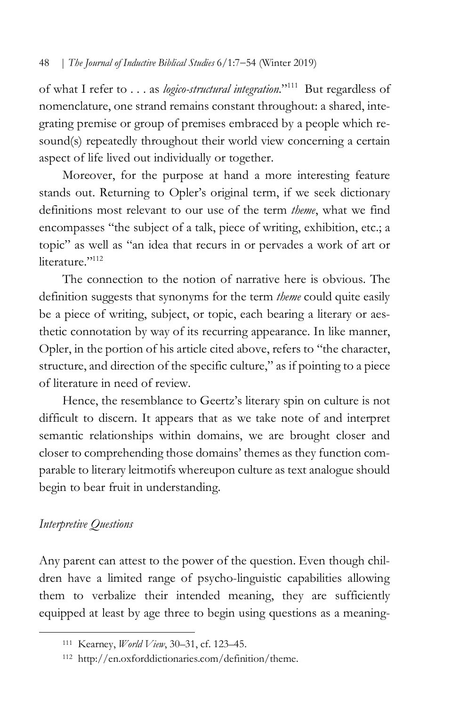of what I refer to . . . as *logico-structural integration*."111 But regardless of nomenclature, one strand remains constant throughout: a shared, integrating premise or group of premises embraced by a people which resound(s) repeatedly throughout their world view concerning a certain aspect of life lived out individually or together.

Moreover, for the purpose at hand a more interesting feature stands out. Returning to Opler's original term, if we seek dictionary definitions most relevant to our use of the term *theme*, what we find encompasses "the subject of a talk, piece of writing, exhibition, etc.; a topic" as well as "an idea that recurs in or pervades a work of art or literature<sup>"112</sup>

The connection to the notion of narrative here is obvious. The definition suggests that synonyms for the term *theme* could quite easily be a piece of writing, subject, or topic, each bearing a literary or aesthetic connotation by way of its recurring appearance. In like manner, Opler, in the portion of his article cited above, refers to "the character, structure, and direction of the specific culture," as if pointing to a piece of literature in need of review.

Hence, the resemblance to Geertz's literary spin on culture is not difficult to discern. It appears that as we take note of and interpret semantic relationships within domains, we are brought closer and closer to comprehending those domains' themes as they function comparable to literary leitmotifs whereupon culture as text analogue should begin to bear fruit in understanding.

# *Interpretive Questions*

 $\overline{a}$ 

Any parent can attest to the power of the question. Even though children have a limited range of psycho-linguistic capabilities allowing them to verbalize their intended meaning, they are sufficiently equipped at least by age three to begin using questions as a meaning-

<sup>111</sup> Kearney, *World View*, 30–31, cf. 123–45.

<sup>112</sup> http://en.oxforddictionaries.com/definition/theme.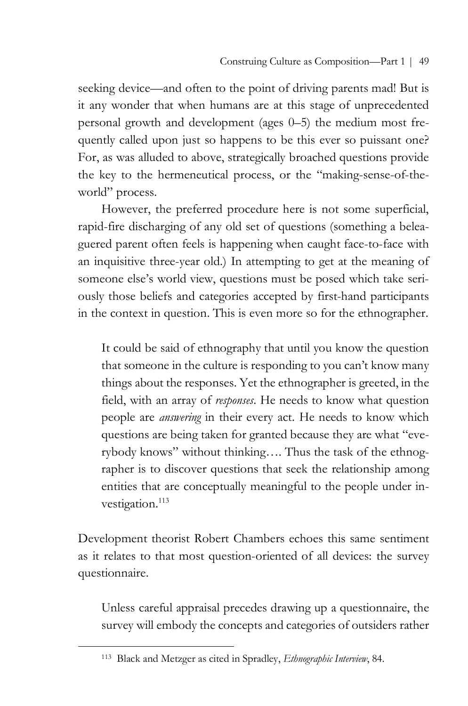seeking device—and often to the point of driving parents mad! But is it any wonder that when humans are at this stage of unprecedented personal growth and development (ages 0–5) the medium most frequently called upon just so happens to be this ever so puissant one? For, as was alluded to above, strategically broached questions provide the key to the hermeneutical process, or the "making-sense-of-theworld" process.

However, the preferred procedure here is not some superficial, rapid-fire discharging of any old set of questions (something a beleaguered parent often feels is happening when caught face-to-face with an inquisitive three-year old.) In attempting to get at the meaning of someone else's world view, questions must be posed which take seriously those beliefs and categories accepted by first-hand participants in the context in question. This is even more so for the ethnographer.

It could be said of ethnography that until you know the question that someone in the culture is responding to you can't know many things about the responses. Yet the ethnographer is greeted, in the field, with an array of *responses*. He needs to know what question people are *answering* in their every act. He needs to know which questions are being taken for granted because they are what "everybody knows" without thinking…. Thus the task of the ethnographer is to discover questions that seek the relationship among entities that are conceptually meaningful to the people under investigation.<sup>113</sup>

Development theorist Robert Chambers echoes this same sentiment as it relates to that most question-oriented of all devices: the survey questionnaire.

Unless careful appraisal precedes drawing up a questionnaire, the survey will embody the concepts and categories of outsiders rather

<sup>113</sup> Black and Metzger as cited in Spradley, *Ethnographic Interview*, 84.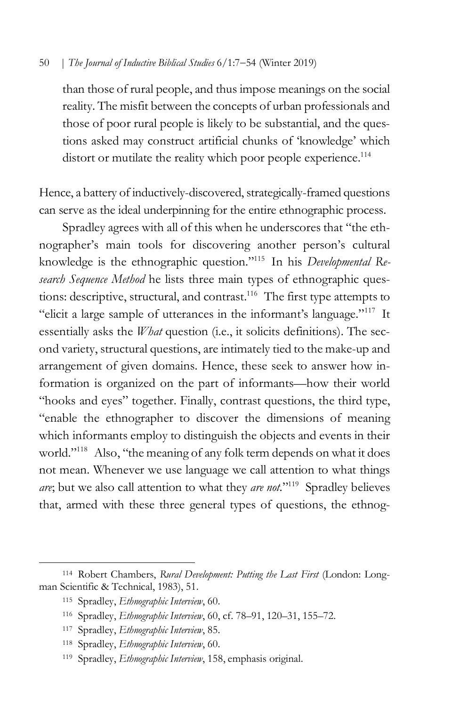than those of rural people, and thus impose meanings on the social reality. The misfit between the concepts of urban professionals and those of poor rural people is likely to be substantial, and the questions asked may construct artificial chunks of 'knowledge' which distort or mutilate the reality which poor people experience.<sup>114</sup>

Hence, a battery of inductively-discovered, strategically-framed questions can serve as the ideal underpinning for the entire ethnographic process.

Spradley agrees with all of this when he underscores that "the ethnographer's main tools for discovering another person's cultural knowledge is the ethnographic question."115 In his *Developmental Research Sequence Method* he lists three main types of ethnographic questions: descriptive, structural, and contrast. <sup>116</sup> The first type attempts to "elicit a large sample of utterances in the informant's language."117 It essentially asks the *What* question (i.e., it solicits definitions). The second variety, structural questions, are intimately tied to the make-up and arrangement of given domains. Hence, these seek to answer how information is organized on the part of informants—how their world "hooks and eyes" together. Finally, contrast questions, the third type, "enable the ethnographer to discover the dimensions of meaning which informants employ to distinguish the objects and events in their world."<sup>118</sup> Also, "the meaning of any folk term depends on what it does not mean. Whenever we use language we call attention to what things *are*; but we also call attention to what they *are not.*"119 Spradley believes that, armed with these three general types of questions, the ethnog-

<sup>114</sup> Robert Chambers, *Rural Development: Putting the Last First* (London: Longman Scientific & Technical, 1983), 51.

<sup>115</sup> Spradley, *Ethnographic Interview*, 60.

<sup>116</sup> Spradley, *Ethnographic Interview*, 60, cf. 78–91, 120–31, 155–72.

<sup>117</sup> Spradley, *Ethnographic Interview*, 85.

<sup>118</sup> Spradley, *Ethnographic Interview*, 60.

<sup>119</sup> Spradley, *Ethnographic Interview*, 158, emphasis original.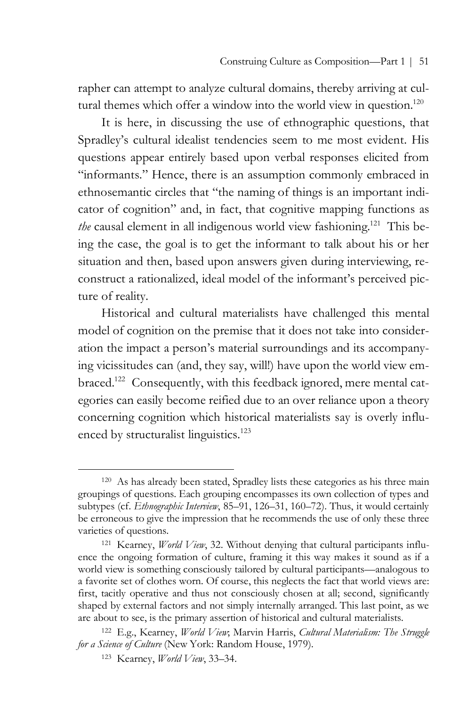rapher can attempt to analyze cultural domains, thereby arriving at cultural themes which offer a window into the world view in question.<sup>120</sup>

It is here, in discussing the use of ethnographic questions, that Spradley's cultural idealist tendencies seem to me most evident. His questions appear entirely based upon verbal responses elicited from "informants." Hence, there is an assumption commonly embraced in ethnosemantic circles that "the naming of things is an important indicator of cognition" and, in fact, that cognitive mapping functions as *the* causal element in all indigenous world view fashioning.<sup>121</sup> This being the case, the goal is to get the informant to talk about his or her situation and then, based upon answers given during interviewing, reconstruct a rationalized, ideal model of the informant's perceived picture of reality.

Historical and cultural materialists have challenged this mental model of cognition on the premise that it does not take into consideration the impact a person's material surroundings and its accompanying vicissitudes can (and, they say, will!) have upon the world view embraced.<sup>122</sup> Consequently, with this feedback ignored, mere mental categories can easily become reified due to an over reliance upon a theory concerning cognition which historical materialists say is overly influenced by structuralist linguistics.<sup>123</sup>

<sup>120</sup> As has already been stated, Spradley lists these categories as his three main groupings of questions. Each grouping encompasses its own collection of types and subtypes (cf. *Ethnographic Interview*, 85–91, 126–31, 160–72). Thus, it would certainly be erroneous to give the impression that he recommends the use of only these three varieties of questions.

<sup>121</sup> Kearney, *World View*, 32. Without denying that cultural participants influence the ongoing formation of culture, framing it this way makes it sound as if a world view is something consciously tailored by cultural participants—analogous to a favorite set of clothes worn. Of course, this neglects the fact that world views are: first, tacitly operative and thus not consciously chosen at all; second, significantly shaped by external factors and not simply internally arranged. This last point, as we are about to see, is the primary assertion of historical and cultural materialists.

<sup>122</sup> E.g., Kearney, *World View*; Marvin Harris, *Cultural Materialism: The Struggle for a Science of Culture* (New York: Random House, 1979).

<sup>123</sup> Kearney, *World View*, 33–34.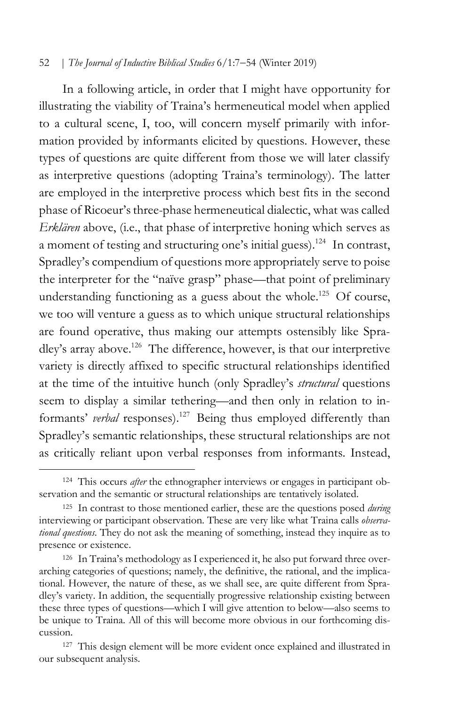In a following article, in order that I might have opportunity for illustrating the viability of Traina's hermeneutical model when applied to a cultural scene, I, too, will concern myself primarily with information provided by informants elicited by questions. However, these types of questions are quite different from those we will later classify as interpretive questions (adopting Traina's terminology). The latter are employed in the interpretive process which best fits in the second phase of Ricoeur's three-phase hermeneutical dialectic, what was called *Erklären* above, (i.e., that phase of interpretive honing which serves as a moment of testing and structuring one's initial guess).<sup>124</sup> In contrast, Spradley's compendium of questions more appropriately serve to poise the interpreter for the "naïve grasp" phase—that point of preliminary understanding functioning as a guess about the whole.<sup>125</sup> Of course, we too will venture a guess as to which unique structural relationships are found operative, thus making our attempts ostensibly like Spradley's array above.<sup>126</sup> The difference, however, is that our interpretive variety is directly affixed to specific structural relationships identified at the time of the intuitive hunch (only Spradley's *structural* questions seem to display a similar tethering—and then only in relation to informants' *verbal* responses).<sup>127</sup> Being thus employed differently than Spradley's semantic relationships, these structural relationships are not as critically reliant upon verbal responses from informants. Instead,

<sup>124</sup> This occurs *after* the ethnographer interviews or engages in participant observation and the semantic or structural relationships are tentatively isolated.

<sup>125</sup> In contrast to those mentioned earlier, these are the questions posed *during* interviewing or participant observation. These are very like what Traina calls *observational questions*. They do not ask the meaning of something, instead they inquire as to presence or existence.

<sup>126</sup> In Traina's methodology as I experienced it, he also put forward three overarching categories of questions; namely, the definitive, the rational, and the implicational. However, the nature of these, as we shall see, are quite different from Spradley's variety. In addition, the sequentially progressive relationship existing between these three types of questions—which I will give attention to below—also seems to be unique to Traina. All of this will become more obvious in our forthcoming discussion.

<sup>127</sup> This design element will be more evident once explained and illustrated in our subsequent analysis.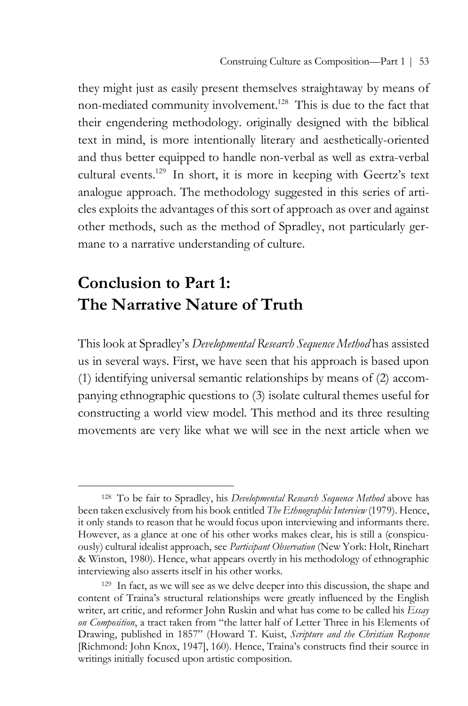they might just as easily present themselves straightaway by means of non-mediated community involvement.<sup>128</sup> This is due to the fact that their engendering methodology. originally designed with the biblical text in mind, is more intentionally literary and aesthetically-oriented and thus better equipped to handle non-verbal as well as extra-verbal cultural events.129 In short, it is more in keeping with Geertz's text analogue approach. The methodology suggested in this series of articles exploits the advantages of this sort of approach as over and against other methods, such as the method of Spradley, not particularly germane to a narrative understanding of culture.

# **Conclusion to Part 1: The Narrative Nature of Truth**

 $\overline{a}$ 

This look at Spradley's *Developmental Research Sequence Method* has assisted us in several ways. First, we have seen that his approach is based upon (1) identifying universal semantic relationships by means of (2) accompanying ethnographic questions to (3) isolate cultural themes useful for constructing a world view model. This method and its three resulting movements are very like what we will see in the next article when we

<sup>128</sup> To be fair to Spradley, his *Developmental Research Sequence Method* above has been taken exclusively from his book entitled *The Ethnographic Interview* (1979). Hence, it only stands to reason that he would focus upon interviewing and informants there. However, as a glance at one of his other works makes clear, his is still a (conspicuously) cultural idealist approach, see *Participant Observation* (New York: Holt, Rinehart & Winston, 1980). Hence, what appears overtly in his methodology of ethnographic interviewing also asserts itself in his other works.

<sup>129</sup> In fact, as we will see as we delve deeper into this discussion, the shape and content of Traina's structural relationships were greatly influenced by the English writer, art critic, and reformer John Ruskin and what has come to be called his *Essay on Composition*, a tract taken from "the latter half of Letter Three in his Elements of Drawing, published in 1857" (Howard T. Kuist, *Scripture and the Christian Response* [Richmond: John Knox, 1947], 160). Hence, Traina's constructs find their source in writings initially focused upon artistic composition.